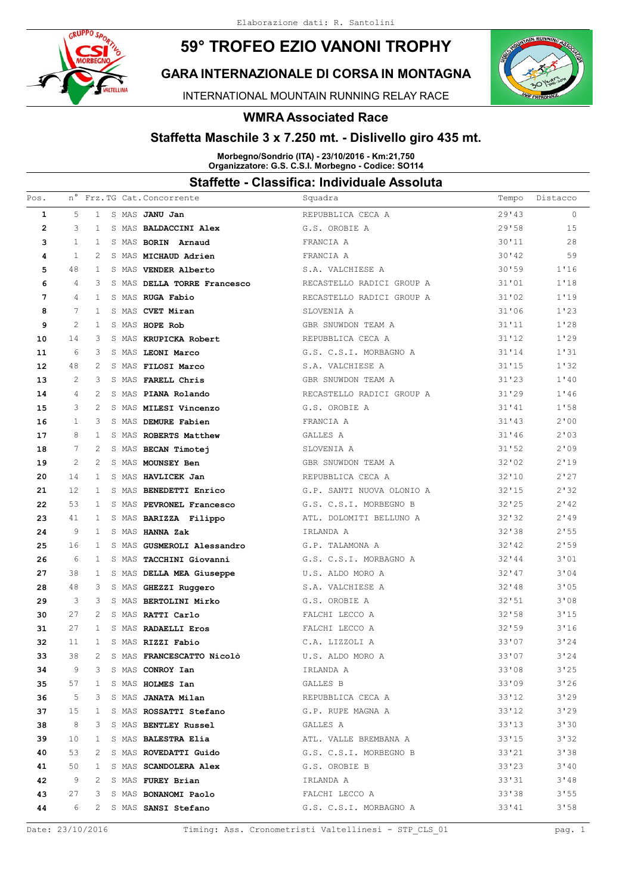# **59° TROFEO EZIO VANONI TROPHY**



INTERNATIONAL MOUNTAIN RUNNING RELAY RACE

#### **WMRA Associated Race**

#### **Staffetta Maschile 3 x 7.250 mt. - Dislivello giro 435 mt.**

**Morbegno/Sondrio (ITA) - 23/10/2016 - Km:21,750 Organizzatore: G.S. C.S.I. Morbegno - Codice: SO114**

| Pos.              | n°           |              |  | Frz.TG Cat. Concorrente                          | Squadra                                                       | Tempo  | Distacco   |
|-------------------|--------------|--------------|--|--------------------------------------------------|---------------------------------------------------------------|--------|------------|
| $\mathbf{1}$      | .5           | $\mathbf{1}$ |  | S MAS JANU Jan                                   | REPUBBLICA CECA A                                             | 29'43  | $\circ$    |
| $\mathbf{2}$      | 3            | 1            |  | S MAS BALDACCINI Alex                            | G.S. OROBIE A                                                 | 29'58  | 15         |
| 3                 | $\mathbf{1}$ | 1            |  | S MAS BORIN Arnaud                               | FRANCIA A                                                     | 30'11  | 28         |
| 4                 | $\mathbf{1}$ | 2            |  | S MAS MICHAUD Adrien                             | FRANCIA A                                                     | 30'12  | 59         |
| 5                 | 48           | 1            |  | S MAS VENDER Alberto                             | S.A. VALCHIESE A                                              | 30'59  | 1'16       |
| 6                 | 4            | 3            |  | S MAS DELLA TORRE Francesco                      | RECASTELLO RADICI GROUP A                                     | 31'01  | 1'18       |
| 7                 | 4            | -1           |  | S MAS RUGA Fabio                                 | RECASTELLO RADICI GROUP A                                     | 31'02  | 1'19       |
| 8                 | 7            | 1            |  | S MAS CVET Miran                                 | SLOVENIA A                                                    | 31'06  | 1'23       |
| 9                 | 2            | 1            |  | S MAS HOPE Rob                                   | GBR SNUWDON TEAM A                                            | 31'11  | 1'28       |
| 10                | 14           | 3            |  | S MAS KRUPICKA Robert                            | REPUBBLICA CECA A                                             | 31'12  | 1'29       |
| 11                | 6            | 3            |  | S MAS LEONI Marco                                | G.S. C.S.I. MORBAGNO A                                        | 31'14  | 1'31       |
| $12 \overline{ }$ | 48           | 2            |  | S MAS FILOSI Marco                               | S.A. VALCHIESE A                                              | 31'15  | 1'32       |
| 13                | 2            | 3            |  | S MAS FARELL Chris                               | GBR SNUWDON TEAM A                                            | 31'23  | 1'40       |
| 14                | 4            | 2            |  | S MAS PIANA Rolando                              | RECASTELLO RADICI GROUP A                                     | 31'29  | 1'46       |
| 15                | 3            | 2            |  | S MAS MILESI Vincenzo                            | G.S. OROBIE A                                                 | 31'41  | 1'58       |
| 16                | 1            | 3            |  | S MAS DEMURE Fabien                              | FRANCIA A                                                     | 31'43  | 2'00       |
| 17                | 8            | 1            |  | S MAS ROBERTS Matthew                            | GALLES A                                                      | 31'36  | 2'03       |
| 18                | 7            | 2            |  | S MAS BECAN Timotej                              | SLOVENIA A                                                    | 31'52  | 2'09       |
| 19                | 2            | 2            |  | S MAS MOUNSEY Ben                                | GBR SNUWDON TEAM A                                            | 32'02  | 2'19       |
| 20                | 14           | 1            |  | S MAS HAVLICEK Jan                               | REPUBBLICA CECA A                                             | 32'10  | 2'27       |
| 21                | 12           | 1            |  | S MAS BENEDETTI Enrico                           | G.P. SANTI NUOVA OLONIO A                                     | 32'15  | 2'32       |
| 22                | 53           | 1            |  | S MAS PEVRONEL Francesco                         | G.S. C.S.I. MORBEGNO B                                        | 32'25  | 2'142      |
| 23                | 41           | 1            |  | S MAS BARIZZA Filippo                            | ATL. DOLOMITI BELLUNO A                                       | 32'32  | 2'19       |
| 24                | 9            | $\mathbf{1}$ |  | S MAS HANNA Zak                                  | IRLANDA A                                                     | 32'38  | 2'55       |
| 25                | 16           | 1            |  | S MAS GUSMEROLI Alessandro                       | G.P. TALAMONA A                                               | 32'142 | 2'59       |
| 26                | 6            | $\mathbf{1}$ |  | S MAS TACCHINI Giovanni                          | G.S. C.S.I. MORBAGNO A                                        | 32'144 | 3'01       |
| 27                | 38           | 1            |  | S MAS DELLA MEA Giuseppe                         | U.S. ALDO MORO A                                              | 32'17  | 3'04       |
| 28                | 48           | 3            |  | S MAS GHEZZI Ruggero                             | S.A. VALCHIESE A                                              | 32'18  | 3'05       |
| 29                | 3            | 3            |  | S MAS BERTOLINI Mirko                            | G.S. OROBIE A                                                 | 32'51  | 3'08       |
| 30                | 27           | 2            |  | S MAS RATTI Carlo                                | FALCHI LECCO A                                                | 32'58  | 3'15       |
| 31                | 27           | 1            |  | S MAS RADAELLI Eros                              | FALCHI LECCO A                                                | 32'59  | 3'16       |
| 32                | 11           | 1            |  | S MAS RIZZI Fabio                                | C.A. LIZZOLI A                                                | 33'07  | 3'24       |
| 33                | 38           | 2            |  | S MAS FRANCESCATTO Nicolò                        | U.S. ALDO MORO A                                              | 33'07  | 3'24       |
| 34                | 9            |              |  | 3 S MAS CONROY Ian                               | IRLANDA A                                                     | 33'08  | 3'25       |
| 35                |              |              |  | 57 1 S MAS HOLMES Ian                            | GALLES B                                                      | 33'09  | 3'26       |
|                   |              |              |  |                                                  | 36 5 3 S MAS JANATA Milan San REPUBBLICA CECA A               |        | 33'12 3'29 |
|                   |              |              |  |                                                  | 37 15 1 S MAS ROSSATTI Stefano G.P. RUPE MAGNA A              |        | 33'12 3'29 |
| 38                |              |              |  | 8 3 S MAS BENTLEY Russel GALLES A                |                                                               |        | 33'13 3'30 |
| 39                |              |              |  |                                                  | 10 1 S MAS BALESTRA Elia 132 ATL. VALLE BREMBANA A 33'15 3'32 |        |            |
| 40                |              |              |  | 53 2 S MAS ROVEDATTI Guido                       | G.S. C.S.I. MORBEGNO B                                        |        | 33'21 3'38 |
| 41                |              |              |  | 50 1 S MAS SCANDOLERA Alex                       | G.S. OROBIE B                                                 | 33'23  | 3'40       |
| 42                |              |              |  | 9 2 S MAS FUREY Brian                            | IRLANDA A                                                     |        | 33'31 3'48 |
| 43                |              |              |  | 27 3 S MAS BONANOMI Paolo Bandard Balchi LECCO A |                                                               |        | 33'38 3'55 |
|                   |              |              |  |                                                  | 44 6 2 S MAS SANSI Stefano G.S. C.S.I. MORBAGNO A             | 33'41  | 3'58       |
|                   |              |              |  |                                                  |                                                               |        |            |



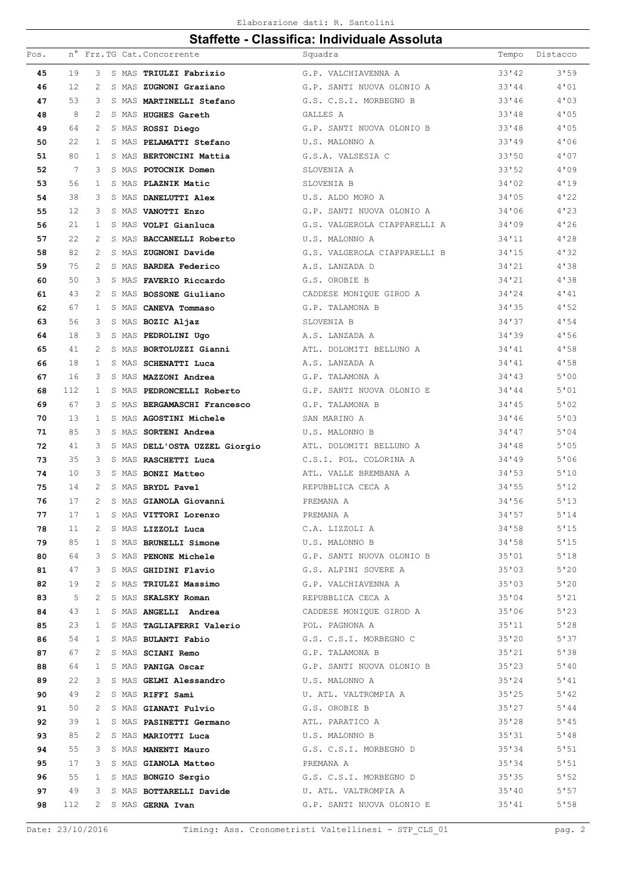| 19<br>33'142<br>3<br>G.P. VALCHIAVENNA A<br>45<br>S MAS TRIULZI Fabrizio<br>12<br>33'44<br>46<br>2<br>S MAS ZUGNONI Graziano<br>G.P. SANTI NUOVA OLONIO A<br>53<br>33'46<br>47<br>3<br>S MAS MARTINELLI Stefano<br>G.S. C.S.I. MORBEGNO B<br>8<br>48<br>2<br>GALLES A<br>33'18<br>S MAS HUGHES Gareth<br>64<br>G.P. SANTI NUOVA OLONIO B<br>33'48<br>49<br>2<br>S MAS ROSSI Diego<br>22<br>33'49<br>50<br>$\mathbf{1}$<br>S MAS PELAMATTI Stefano<br>U.S. MALONNO A<br>51<br>80<br>33'50<br>$\mathbf{1}$<br>S MAS BERTONCINI Mattia<br>G.S.A. VALSESIA C<br>7<br>33'52<br>52<br>3<br>S MAS POTOCNIK Domen<br>SLOVENTA A<br>53<br>56<br>1<br>SLOVENIA B<br>34'02<br>S MAS PLAZNIK Matic<br>38<br>54<br>3<br>U.S. ALDO MORO A<br>34'05<br>S MAS DANELUTTI Alex<br>12<br>55<br>3<br>S MAS VANOTTI Enzo<br>G.P. SANTI NUOVA OLONIO A<br>34'06<br>21<br>56<br>1<br>S MAS VOLPI Gianluca<br>G.S. VALGEROLA CIAPPARELLI A<br>34'09<br>22<br>57<br>2<br>S MAS BACCANELLI Roberto<br>U.S. MALONNO A<br>34'11<br>82<br>2<br>G.S. VALGEROLA CIAPPARELLI B<br>34'15<br>58<br>S MAS ZUGNONI Davide<br>75<br>59<br>2<br>A.S. LANZADA D<br>34'21<br>S MAS <b>BARDEA Federico</b><br>50<br>34'21<br>60<br>3<br>G.S. OROBIE B<br>S MAS FAVERIO Riccardo<br>43<br>34'24<br>61<br>2<br>S MAS BOSSONE Giuliano<br>CADDESE MONIQUE GIROD A<br>67<br>34'35<br>62<br>$\mathbf{1}$<br>S MAS CANEVA Tommaso<br>G.P. TALAMONA B<br>56<br>34'37<br>63<br>3<br>S MAS BOZIC Aljaz<br>SLOVENIA B<br>18<br>34'39<br>64<br>3<br>S MAS PEDROLINI Ugo<br>A.S. LANZADA A<br>41<br>65<br>2<br>ATL. DOLOMITI BELLUNO A<br>34'41<br>S MAS BORTOLUZZI Gianni<br>66<br>18<br>1<br>A.S. LANZADA A<br>34'41<br>S MAS SCHENATTI Luca<br>16<br>34'43<br>67<br>3<br>S MAS MAZZONI Andrea<br>G.P. TALAMONA A<br>112<br>G.P. SANTI NUOVA OLONIO E<br>68<br>$\mathbf{1}$<br>S MAS PEDRONCELLI Roberto<br>34'44<br>67<br>34'45<br>69<br>3<br>S MAS BERGAMASCHI Francesco<br>G.P. TALAMONA B<br>13<br>34'46<br>70<br>1<br>S MAS AGOSTINI Michele<br>SAN MARINO A<br>85<br>71<br>3<br>S MAS SORTENI Andrea<br>U.S. MALONNO B<br>34'47<br>72<br>41<br>3<br>34'48<br>S MAS DELL'OSTA UZZEL Giorgio<br>ATL. DOLOMITI BELLUNO A<br>35<br>73<br>3<br>S MAS RASCHETTI Luca<br>34'49<br>C.S.I. POL. COLORINA A<br>10<br>74<br>3<br>S MAS BONZI Matteo<br>ATL. VALLE BREMBANA A<br>34'53<br>75<br>14<br>2<br>S MAS BRYDL Pavel<br>REPUBBLICA CECA A<br>34'55<br>17<br>34'56<br>76<br>2<br>S MAS GIANOLA Giovanni<br>PREMANA A<br>17<br>$\mathbf{1}$<br>77<br>S MAS VITTORI Lorenzo<br>PREMANA A<br>34'57<br>34'58<br>78<br>11<br>S MAS LIZZOLI Luca<br>C.A. LIZZOLI A<br>2<br>79<br>85<br>S MAS BRUNELLI Simone<br>34'58<br>U.S. MALONNO B<br>1<br>S MAS PENONE Michele (S.P. SANTI NUOVA OLONIO B<br>80<br>64<br>35'01<br>3<br>S MAS GHIDINI Flavio G.S. ALPINI SOVERE A<br>81<br>47<br>35'03<br>3<br>S MAS TRIULZI Massimo<br>82<br>19<br>35'03<br>2<br>G.P. VALCHIAVENNA A<br>83<br>5<br>REPUBBLICA CECA A<br>35'04<br>2<br>S MAS SKALSKY Roman<br>84<br>43<br>CADDESE MONIQUE GIROD A<br>35'06<br>$\mathbf{1}$<br>S MAS ANGELLI Andrea<br>23<br>35'11<br>85<br>S MAS TAGLIAFERRI Valerio MOD. POL. PAGNONA A<br>$\mathbf{1}$<br>35'20<br>86<br>54<br>S MAS BULANTI Fabio G.S. C.S.I. MORBEGNO C<br>1<br>G.P. TALAMONA B<br>87<br>67<br>S MAS SCIANI Remo<br>35'21<br>2<br>S MAS PANIGA Oscar (S.P. SANTI NUOVA OLONIO B<br>88<br>64<br>35'23<br>$\mathbf{1}$<br>22<br>89<br>S MAS GELMI Alessandro<br>U.S. MALONNO A<br>35'24<br>3<br>90<br>49<br>S MAS RIFFI Sami<br>U. ATL. VALTROMPIA A<br>35'25<br>2<br>50<br>S MAS GIANATI Fulvio <a> G.S. OROBIE B<br/>35'27<br/>91<br/>2<br/>39<br/>92<br/>S MAS PASINETTI Germano ATL. PARATICO A<br/>35'28<br/>1<br/>U.S. MALONNO B<br/>93<br/>85<br/>35'31<br/>2<br/>S MAS MARIOTTI Luca<br/>G.S. C.S.I. MORBEGNO D<br/>94<br/>55<br/>S MAS <b>MANENTI Mauro</b><br/>35'34<br/>3<br/>S MAS GIANOLA Matteo<br/>95<br/>17<br/>35'34<br/>3<br/>PREMANA A<br/>96<br/>55<br/>G.S. C.S.I. MORBEGNO D<br/>35'35<br/>1 S MAS BONGIO Sergio<br/>97<br/>49<br/>S MAS BOTTARELLI Davide U. ATL. VALTROMPIA A<br/>35'10<br/>3<br/>112<br/>G.P. SANTI NUOVA OLONIO E<br/>35'41<br/>98<br/>2 S MAS GERNA Ivan</a> | Pos. |  |  | n° Frz.TG Cat. Concorrente | Squadra | Tempo | Distacco |
|----------------------------------------------------------------------------------------------------------------------------------------------------------------------------------------------------------------------------------------------------------------------------------------------------------------------------------------------------------------------------------------------------------------------------------------------------------------------------------------------------------------------------------------------------------------------------------------------------------------------------------------------------------------------------------------------------------------------------------------------------------------------------------------------------------------------------------------------------------------------------------------------------------------------------------------------------------------------------------------------------------------------------------------------------------------------------------------------------------------------------------------------------------------------------------------------------------------------------------------------------------------------------------------------------------------------------------------------------------------------------------------------------------------------------------------------------------------------------------------------------------------------------------------------------------------------------------------------------------------------------------------------------------------------------------------------------------------------------------------------------------------------------------------------------------------------------------------------------------------------------------------------------------------------------------------------------------------------------------------------------------------------------------------------------------------------------------------------------------------------------------------------------------------------------------------------------------------------------------------------------------------------------------------------------------------------------------------------------------------------------------------------------------------------------------------------------------------------------------------------------------------------------------------------------------------------------------------------------------------------------------------------------------------------------------------------------------------------------------------------------------------------------------------------------------------------------------------------------------------------------------------------------------------------------------------------------------------------------------------------------------------------------------------------------------------------------------------------------------------------------------------------------------------------------------------------------------------------------------------------------------------------------------------------------------------------------------------------------------------------------------------------------------------------------------------------------------------------------------------------------------------------------------------------------------------------------------------------------------------------------------------------------------------------------------------------------------------------------------------------------------------------------------------------------------------------------------------------------------------------------------------------------------------------------------------------------------------------------------------------------------------------------------------------------------------------------------------------------------------------------------------------------------------------------------------|------|--|--|----------------------------|---------|-------|----------|
|                                                                                                                                                                                                                                                                                                                                                                                                                                                                                                                                                                                                                                                                                                                                                                                                                                                                                                                                                                                                                                                                                                                                                                                                                                                                                                                                                                                                                                                                                                                                                                                                                                                                                                                                                                                                                                                                                                                                                                                                                                                                                                                                                                                                                                                                                                                                                                                                                                                                                                                                                                                                                                                                                                                                                                                                                                                                                                                                                                                                                                                                                                                                                                                                                                                                                                                                                                                                                                                                                                                                                                                                                                                                                                                                                                                                                                                                                                                                                                                                                                                                                                                                                                                        |      |  |  |                            |         |       | 3'59     |
|                                                                                                                                                                                                                                                                                                                                                                                                                                                                                                                                                                                                                                                                                                                                                                                                                                                                                                                                                                                                                                                                                                                                                                                                                                                                                                                                                                                                                                                                                                                                                                                                                                                                                                                                                                                                                                                                                                                                                                                                                                                                                                                                                                                                                                                                                                                                                                                                                                                                                                                                                                                                                                                                                                                                                                                                                                                                                                                                                                                                                                                                                                                                                                                                                                                                                                                                                                                                                                                                                                                                                                                                                                                                                                                                                                                                                                                                                                                                                                                                                                                                                                                                                                                        |      |  |  |                            |         |       | 4'01     |
|                                                                                                                                                                                                                                                                                                                                                                                                                                                                                                                                                                                                                                                                                                                                                                                                                                                                                                                                                                                                                                                                                                                                                                                                                                                                                                                                                                                                                                                                                                                                                                                                                                                                                                                                                                                                                                                                                                                                                                                                                                                                                                                                                                                                                                                                                                                                                                                                                                                                                                                                                                                                                                                                                                                                                                                                                                                                                                                                                                                                                                                                                                                                                                                                                                                                                                                                                                                                                                                                                                                                                                                                                                                                                                                                                                                                                                                                                                                                                                                                                                                                                                                                                                                        |      |  |  |                            |         |       | 4'03     |
|                                                                                                                                                                                                                                                                                                                                                                                                                                                                                                                                                                                                                                                                                                                                                                                                                                                                                                                                                                                                                                                                                                                                                                                                                                                                                                                                                                                                                                                                                                                                                                                                                                                                                                                                                                                                                                                                                                                                                                                                                                                                                                                                                                                                                                                                                                                                                                                                                                                                                                                                                                                                                                                                                                                                                                                                                                                                                                                                                                                                                                                                                                                                                                                                                                                                                                                                                                                                                                                                                                                                                                                                                                                                                                                                                                                                                                                                                                                                                                                                                                                                                                                                                                                        |      |  |  |                            |         |       | 4'05     |
|                                                                                                                                                                                                                                                                                                                                                                                                                                                                                                                                                                                                                                                                                                                                                                                                                                                                                                                                                                                                                                                                                                                                                                                                                                                                                                                                                                                                                                                                                                                                                                                                                                                                                                                                                                                                                                                                                                                                                                                                                                                                                                                                                                                                                                                                                                                                                                                                                                                                                                                                                                                                                                                                                                                                                                                                                                                                                                                                                                                                                                                                                                                                                                                                                                                                                                                                                                                                                                                                                                                                                                                                                                                                                                                                                                                                                                                                                                                                                                                                                                                                                                                                                                                        |      |  |  |                            |         |       | 4'05     |
|                                                                                                                                                                                                                                                                                                                                                                                                                                                                                                                                                                                                                                                                                                                                                                                                                                                                                                                                                                                                                                                                                                                                                                                                                                                                                                                                                                                                                                                                                                                                                                                                                                                                                                                                                                                                                                                                                                                                                                                                                                                                                                                                                                                                                                                                                                                                                                                                                                                                                                                                                                                                                                                                                                                                                                                                                                                                                                                                                                                                                                                                                                                                                                                                                                                                                                                                                                                                                                                                                                                                                                                                                                                                                                                                                                                                                                                                                                                                                                                                                                                                                                                                                                                        |      |  |  |                            |         |       | 4'06     |
|                                                                                                                                                                                                                                                                                                                                                                                                                                                                                                                                                                                                                                                                                                                                                                                                                                                                                                                                                                                                                                                                                                                                                                                                                                                                                                                                                                                                                                                                                                                                                                                                                                                                                                                                                                                                                                                                                                                                                                                                                                                                                                                                                                                                                                                                                                                                                                                                                                                                                                                                                                                                                                                                                                                                                                                                                                                                                                                                                                                                                                                                                                                                                                                                                                                                                                                                                                                                                                                                                                                                                                                                                                                                                                                                                                                                                                                                                                                                                                                                                                                                                                                                                                                        |      |  |  |                            |         |       | 4'07     |
|                                                                                                                                                                                                                                                                                                                                                                                                                                                                                                                                                                                                                                                                                                                                                                                                                                                                                                                                                                                                                                                                                                                                                                                                                                                                                                                                                                                                                                                                                                                                                                                                                                                                                                                                                                                                                                                                                                                                                                                                                                                                                                                                                                                                                                                                                                                                                                                                                                                                                                                                                                                                                                                                                                                                                                                                                                                                                                                                                                                                                                                                                                                                                                                                                                                                                                                                                                                                                                                                                                                                                                                                                                                                                                                                                                                                                                                                                                                                                                                                                                                                                                                                                                                        |      |  |  |                            |         |       | 4'09     |
|                                                                                                                                                                                                                                                                                                                                                                                                                                                                                                                                                                                                                                                                                                                                                                                                                                                                                                                                                                                                                                                                                                                                                                                                                                                                                                                                                                                                                                                                                                                                                                                                                                                                                                                                                                                                                                                                                                                                                                                                                                                                                                                                                                                                                                                                                                                                                                                                                                                                                                                                                                                                                                                                                                                                                                                                                                                                                                                                                                                                                                                                                                                                                                                                                                                                                                                                                                                                                                                                                                                                                                                                                                                                                                                                                                                                                                                                                                                                                                                                                                                                                                                                                                                        |      |  |  |                            |         |       | 4'19     |
|                                                                                                                                                                                                                                                                                                                                                                                                                                                                                                                                                                                                                                                                                                                                                                                                                                                                                                                                                                                                                                                                                                                                                                                                                                                                                                                                                                                                                                                                                                                                                                                                                                                                                                                                                                                                                                                                                                                                                                                                                                                                                                                                                                                                                                                                                                                                                                                                                                                                                                                                                                                                                                                                                                                                                                                                                                                                                                                                                                                                                                                                                                                                                                                                                                                                                                                                                                                                                                                                                                                                                                                                                                                                                                                                                                                                                                                                                                                                                                                                                                                                                                                                                                                        |      |  |  |                            |         |       | 4'22     |
|                                                                                                                                                                                                                                                                                                                                                                                                                                                                                                                                                                                                                                                                                                                                                                                                                                                                                                                                                                                                                                                                                                                                                                                                                                                                                                                                                                                                                                                                                                                                                                                                                                                                                                                                                                                                                                                                                                                                                                                                                                                                                                                                                                                                                                                                                                                                                                                                                                                                                                                                                                                                                                                                                                                                                                                                                                                                                                                                                                                                                                                                                                                                                                                                                                                                                                                                                                                                                                                                                                                                                                                                                                                                                                                                                                                                                                                                                                                                                                                                                                                                                                                                                                                        |      |  |  |                            |         |       | 4'23     |
|                                                                                                                                                                                                                                                                                                                                                                                                                                                                                                                                                                                                                                                                                                                                                                                                                                                                                                                                                                                                                                                                                                                                                                                                                                                                                                                                                                                                                                                                                                                                                                                                                                                                                                                                                                                                                                                                                                                                                                                                                                                                                                                                                                                                                                                                                                                                                                                                                                                                                                                                                                                                                                                                                                                                                                                                                                                                                                                                                                                                                                                                                                                                                                                                                                                                                                                                                                                                                                                                                                                                                                                                                                                                                                                                                                                                                                                                                                                                                                                                                                                                                                                                                                                        |      |  |  |                            |         |       | 4'26     |
|                                                                                                                                                                                                                                                                                                                                                                                                                                                                                                                                                                                                                                                                                                                                                                                                                                                                                                                                                                                                                                                                                                                                                                                                                                                                                                                                                                                                                                                                                                                                                                                                                                                                                                                                                                                                                                                                                                                                                                                                                                                                                                                                                                                                                                                                                                                                                                                                                                                                                                                                                                                                                                                                                                                                                                                                                                                                                                                                                                                                                                                                                                                                                                                                                                                                                                                                                                                                                                                                                                                                                                                                                                                                                                                                                                                                                                                                                                                                                                                                                                                                                                                                                                                        |      |  |  |                            |         |       | 4'28     |
|                                                                                                                                                                                                                                                                                                                                                                                                                                                                                                                                                                                                                                                                                                                                                                                                                                                                                                                                                                                                                                                                                                                                                                                                                                                                                                                                                                                                                                                                                                                                                                                                                                                                                                                                                                                                                                                                                                                                                                                                                                                                                                                                                                                                                                                                                                                                                                                                                                                                                                                                                                                                                                                                                                                                                                                                                                                                                                                                                                                                                                                                                                                                                                                                                                                                                                                                                                                                                                                                                                                                                                                                                                                                                                                                                                                                                                                                                                                                                                                                                                                                                                                                                                                        |      |  |  |                            |         |       | 4'32     |
|                                                                                                                                                                                                                                                                                                                                                                                                                                                                                                                                                                                                                                                                                                                                                                                                                                                                                                                                                                                                                                                                                                                                                                                                                                                                                                                                                                                                                                                                                                                                                                                                                                                                                                                                                                                                                                                                                                                                                                                                                                                                                                                                                                                                                                                                                                                                                                                                                                                                                                                                                                                                                                                                                                                                                                                                                                                                                                                                                                                                                                                                                                                                                                                                                                                                                                                                                                                                                                                                                                                                                                                                                                                                                                                                                                                                                                                                                                                                                                                                                                                                                                                                                                                        |      |  |  |                            |         |       | 4'38     |
|                                                                                                                                                                                                                                                                                                                                                                                                                                                                                                                                                                                                                                                                                                                                                                                                                                                                                                                                                                                                                                                                                                                                                                                                                                                                                                                                                                                                                                                                                                                                                                                                                                                                                                                                                                                                                                                                                                                                                                                                                                                                                                                                                                                                                                                                                                                                                                                                                                                                                                                                                                                                                                                                                                                                                                                                                                                                                                                                                                                                                                                                                                                                                                                                                                                                                                                                                                                                                                                                                                                                                                                                                                                                                                                                                                                                                                                                                                                                                                                                                                                                                                                                                                                        |      |  |  |                            |         |       | 4'38     |
|                                                                                                                                                                                                                                                                                                                                                                                                                                                                                                                                                                                                                                                                                                                                                                                                                                                                                                                                                                                                                                                                                                                                                                                                                                                                                                                                                                                                                                                                                                                                                                                                                                                                                                                                                                                                                                                                                                                                                                                                                                                                                                                                                                                                                                                                                                                                                                                                                                                                                                                                                                                                                                                                                                                                                                                                                                                                                                                                                                                                                                                                                                                                                                                                                                                                                                                                                                                                                                                                                                                                                                                                                                                                                                                                                                                                                                                                                                                                                                                                                                                                                                                                                                                        |      |  |  |                            |         |       | 4'41     |
|                                                                                                                                                                                                                                                                                                                                                                                                                                                                                                                                                                                                                                                                                                                                                                                                                                                                                                                                                                                                                                                                                                                                                                                                                                                                                                                                                                                                                                                                                                                                                                                                                                                                                                                                                                                                                                                                                                                                                                                                                                                                                                                                                                                                                                                                                                                                                                                                                                                                                                                                                                                                                                                                                                                                                                                                                                                                                                                                                                                                                                                                                                                                                                                                                                                                                                                                                                                                                                                                                                                                                                                                                                                                                                                                                                                                                                                                                                                                                                                                                                                                                                                                                                                        |      |  |  |                            |         |       | 4'52     |
|                                                                                                                                                                                                                                                                                                                                                                                                                                                                                                                                                                                                                                                                                                                                                                                                                                                                                                                                                                                                                                                                                                                                                                                                                                                                                                                                                                                                                                                                                                                                                                                                                                                                                                                                                                                                                                                                                                                                                                                                                                                                                                                                                                                                                                                                                                                                                                                                                                                                                                                                                                                                                                                                                                                                                                                                                                                                                                                                                                                                                                                                                                                                                                                                                                                                                                                                                                                                                                                                                                                                                                                                                                                                                                                                                                                                                                                                                                                                                                                                                                                                                                                                                                                        |      |  |  |                            |         |       | 4'54     |
|                                                                                                                                                                                                                                                                                                                                                                                                                                                                                                                                                                                                                                                                                                                                                                                                                                                                                                                                                                                                                                                                                                                                                                                                                                                                                                                                                                                                                                                                                                                                                                                                                                                                                                                                                                                                                                                                                                                                                                                                                                                                                                                                                                                                                                                                                                                                                                                                                                                                                                                                                                                                                                                                                                                                                                                                                                                                                                                                                                                                                                                                                                                                                                                                                                                                                                                                                                                                                                                                                                                                                                                                                                                                                                                                                                                                                                                                                                                                                                                                                                                                                                                                                                                        |      |  |  |                            |         |       | 4'56     |
|                                                                                                                                                                                                                                                                                                                                                                                                                                                                                                                                                                                                                                                                                                                                                                                                                                                                                                                                                                                                                                                                                                                                                                                                                                                                                                                                                                                                                                                                                                                                                                                                                                                                                                                                                                                                                                                                                                                                                                                                                                                                                                                                                                                                                                                                                                                                                                                                                                                                                                                                                                                                                                                                                                                                                                                                                                                                                                                                                                                                                                                                                                                                                                                                                                                                                                                                                                                                                                                                                                                                                                                                                                                                                                                                                                                                                                                                                                                                                                                                                                                                                                                                                                                        |      |  |  |                            |         |       | 4'58     |
|                                                                                                                                                                                                                                                                                                                                                                                                                                                                                                                                                                                                                                                                                                                                                                                                                                                                                                                                                                                                                                                                                                                                                                                                                                                                                                                                                                                                                                                                                                                                                                                                                                                                                                                                                                                                                                                                                                                                                                                                                                                                                                                                                                                                                                                                                                                                                                                                                                                                                                                                                                                                                                                                                                                                                                                                                                                                                                                                                                                                                                                                                                                                                                                                                                                                                                                                                                                                                                                                                                                                                                                                                                                                                                                                                                                                                                                                                                                                                                                                                                                                                                                                                                                        |      |  |  |                            |         |       | 4'58     |
|                                                                                                                                                                                                                                                                                                                                                                                                                                                                                                                                                                                                                                                                                                                                                                                                                                                                                                                                                                                                                                                                                                                                                                                                                                                                                                                                                                                                                                                                                                                                                                                                                                                                                                                                                                                                                                                                                                                                                                                                                                                                                                                                                                                                                                                                                                                                                                                                                                                                                                                                                                                                                                                                                                                                                                                                                                                                                                                                                                                                                                                                                                                                                                                                                                                                                                                                                                                                                                                                                                                                                                                                                                                                                                                                                                                                                                                                                                                                                                                                                                                                                                                                                                                        |      |  |  |                            |         |       | 5'00     |
|                                                                                                                                                                                                                                                                                                                                                                                                                                                                                                                                                                                                                                                                                                                                                                                                                                                                                                                                                                                                                                                                                                                                                                                                                                                                                                                                                                                                                                                                                                                                                                                                                                                                                                                                                                                                                                                                                                                                                                                                                                                                                                                                                                                                                                                                                                                                                                                                                                                                                                                                                                                                                                                                                                                                                                                                                                                                                                                                                                                                                                                                                                                                                                                                                                                                                                                                                                                                                                                                                                                                                                                                                                                                                                                                                                                                                                                                                                                                                                                                                                                                                                                                                                                        |      |  |  |                            |         |       | 5'01     |
|                                                                                                                                                                                                                                                                                                                                                                                                                                                                                                                                                                                                                                                                                                                                                                                                                                                                                                                                                                                                                                                                                                                                                                                                                                                                                                                                                                                                                                                                                                                                                                                                                                                                                                                                                                                                                                                                                                                                                                                                                                                                                                                                                                                                                                                                                                                                                                                                                                                                                                                                                                                                                                                                                                                                                                                                                                                                                                                                                                                                                                                                                                                                                                                                                                                                                                                                                                                                                                                                                                                                                                                                                                                                                                                                                                                                                                                                                                                                                                                                                                                                                                                                                                                        |      |  |  |                            |         |       | 5'02     |
|                                                                                                                                                                                                                                                                                                                                                                                                                                                                                                                                                                                                                                                                                                                                                                                                                                                                                                                                                                                                                                                                                                                                                                                                                                                                                                                                                                                                                                                                                                                                                                                                                                                                                                                                                                                                                                                                                                                                                                                                                                                                                                                                                                                                                                                                                                                                                                                                                                                                                                                                                                                                                                                                                                                                                                                                                                                                                                                                                                                                                                                                                                                                                                                                                                                                                                                                                                                                                                                                                                                                                                                                                                                                                                                                                                                                                                                                                                                                                                                                                                                                                                                                                                                        |      |  |  |                            |         |       | 5'03     |
|                                                                                                                                                                                                                                                                                                                                                                                                                                                                                                                                                                                                                                                                                                                                                                                                                                                                                                                                                                                                                                                                                                                                                                                                                                                                                                                                                                                                                                                                                                                                                                                                                                                                                                                                                                                                                                                                                                                                                                                                                                                                                                                                                                                                                                                                                                                                                                                                                                                                                                                                                                                                                                                                                                                                                                                                                                                                                                                                                                                                                                                                                                                                                                                                                                                                                                                                                                                                                                                                                                                                                                                                                                                                                                                                                                                                                                                                                                                                                                                                                                                                                                                                                                                        |      |  |  |                            |         |       | 5'04     |
|                                                                                                                                                                                                                                                                                                                                                                                                                                                                                                                                                                                                                                                                                                                                                                                                                                                                                                                                                                                                                                                                                                                                                                                                                                                                                                                                                                                                                                                                                                                                                                                                                                                                                                                                                                                                                                                                                                                                                                                                                                                                                                                                                                                                                                                                                                                                                                                                                                                                                                                                                                                                                                                                                                                                                                                                                                                                                                                                                                                                                                                                                                                                                                                                                                                                                                                                                                                                                                                                                                                                                                                                                                                                                                                                                                                                                                                                                                                                                                                                                                                                                                                                                                                        |      |  |  |                            |         |       | 5'05     |
|                                                                                                                                                                                                                                                                                                                                                                                                                                                                                                                                                                                                                                                                                                                                                                                                                                                                                                                                                                                                                                                                                                                                                                                                                                                                                                                                                                                                                                                                                                                                                                                                                                                                                                                                                                                                                                                                                                                                                                                                                                                                                                                                                                                                                                                                                                                                                                                                                                                                                                                                                                                                                                                                                                                                                                                                                                                                                                                                                                                                                                                                                                                                                                                                                                                                                                                                                                                                                                                                                                                                                                                                                                                                                                                                                                                                                                                                                                                                                                                                                                                                                                                                                                                        |      |  |  |                            |         |       | 5'06     |
|                                                                                                                                                                                                                                                                                                                                                                                                                                                                                                                                                                                                                                                                                                                                                                                                                                                                                                                                                                                                                                                                                                                                                                                                                                                                                                                                                                                                                                                                                                                                                                                                                                                                                                                                                                                                                                                                                                                                                                                                                                                                                                                                                                                                                                                                                                                                                                                                                                                                                                                                                                                                                                                                                                                                                                                                                                                                                                                                                                                                                                                                                                                                                                                                                                                                                                                                                                                                                                                                                                                                                                                                                                                                                                                                                                                                                                                                                                                                                                                                                                                                                                                                                                                        |      |  |  |                            |         |       | 5'10     |
|                                                                                                                                                                                                                                                                                                                                                                                                                                                                                                                                                                                                                                                                                                                                                                                                                                                                                                                                                                                                                                                                                                                                                                                                                                                                                                                                                                                                                                                                                                                                                                                                                                                                                                                                                                                                                                                                                                                                                                                                                                                                                                                                                                                                                                                                                                                                                                                                                                                                                                                                                                                                                                                                                                                                                                                                                                                                                                                                                                                                                                                                                                                                                                                                                                                                                                                                                                                                                                                                                                                                                                                                                                                                                                                                                                                                                                                                                                                                                                                                                                                                                                                                                                                        |      |  |  |                            |         |       | 5'12     |
|                                                                                                                                                                                                                                                                                                                                                                                                                                                                                                                                                                                                                                                                                                                                                                                                                                                                                                                                                                                                                                                                                                                                                                                                                                                                                                                                                                                                                                                                                                                                                                                                                                                                                                                                                                                                                                                                                                                                                                                                                                                                                                                                                                                                                                                                                                                                                                                                                                                                                                                                                                                                                                                                                                                                                                                                                                                                                                                                                                                                                                                                                                                                                                                                                                                                                                                                                                                                                                                                                                                                                                                                                                                                                                                                                                                                                                                                                                                                                                                                                                                                                                                                                                                        |      |  |  |                            |         |       | 5'13     |
|                                                                                                                                                                                                                                                                                                                                                                                                                                                                                                                                                                                                                                                                                                                                                                                                                                                                                                                                                                                                                                                                                                                                                                                                                                                                                                                                                                                                                                                                                                                                                                                                                                                                                                                                                                                                                                                                                                                                                                                                                                                                                                                                                                                                                                                                                                                                                                                                                                                                                                                                                                                                                                                                                                                                                                                                                                                                                                                                                                                                                                                                                                                                                                                                                                                                                                                                                                                                                                                                                                                                                                                                                                                                                                                                                                                                                                                                                                                                                                                                                                                                                                                                                                                        |      |  |  |                            |         |       | 5'14     |
|                                                                                                                                                                                                                                                                                                                                                                                                                                                                                                                                                                                                                                                                                                                                                                                                                                                                                                                                                                                                                                                                                                                                                                                                                                                                                                                                                                                                                                                                                                                                                                                                                                                                                                                                                                                                                                                                                                                                                                                                                                                                                                                                                                                                                                                                                                                                                                                                                                                                                                                                                                                                                                                                                                                                                                                                                                                                                                                                                                                                                                                                                                                                                                                                                                                                                                                                                                                                                                                                                                                                                                                                                                                                                                                                                                                                                                                                                                                                                                                                                                                                                                                                                                                        |      |  |  |                            |         |       | 5'15     |
|                                                                                                                                                                                                                                                                                                                                                                                                                                                                                                                                                                                                                                                                                                                                                                                                                                                                                                                                                                                                                                                                                                                                                                                                                                                                                                                                                                                                                                                                                                                                                                                                                                                                                                                                                                                                                                                                                                                                                                                                                                                                                                                                                                                                                                                                                                                                                                                                                                                                                                                                                                                                                                                                                                                                                                                                                                                                                                                                                                                                                                                                                                                                                                                                                                                                                                                                                                                                                                                                                                                                                                                                                                                                                                                                                                                                                                                                                                                                                                                                                                                                                                                                                                                        |      |  |  |                            |         |       | 5'15     |
|                                                                                                                                                                                                                                                                                                                                                                                                                                                                                                                                                                                                                                                                                                                                                                                                                                                                                                                                                                                                                                                                                                                                                                                                                                                                                                                                                                                                                                                                                                                                                                                                                                                                                                                                                                                                                                                                                                                                                                                                                                                                                                                                                                                                                                                                                                                                                                                                                                                                                                                                                                                                                                                                                                                                                                                                                                                                                                                                                                                                                                                                                                                                                                                                                                                                                                                                                                                                                                                                                                                                                                                                                                                                                                                                                                                                                                                                                                                                                                                                                                                                                                                                                                                        |      |  |  |                            |         |       |          |
|                                                                                                                                                                                                                                                                                                                                                                                                                                                                                                                                                                                                                                                                                                                                                                                                                                                                                                                                                                                                                                                                                                                                                                                                                                                                                                                                                                                                                                                                                                                                                                                                                                                                                                                                                                                                                                                                                                                                                                                                                                                                                                                                                                                                                                                                                                                                                                                                                                                                                                                                                                                                                                                                                                                                                                                                                                                                                                                                                                                                                                                                                                                                                                                                                                                                                                                                                                                                                                                                                                                                                                                                                                                                                                                                                                                                                                                                                                                                                                                                                                                                                                                                                                                        |      |  |  |                            |         |       | 5'18     |
|                                                                                                                                                                                                                                                                                                                                                                                                                                                                                                                                                                                                                                                                                                                                                                                                                                                                                                                                                                                                                                                                                                                                                                                                                                                                                                                                                                                                                                                                                                                                                                                                                                                                                                                                                                                                                                                                                                                                                                                                                                                                                                                                                                                                                                                                                                                                                                                                                                                                                                                                                                                                                                                                                                                                                                                                                                                                                                                                                                                                                                                                                                                                                                                                                                                                                                                                                                                                                                                                                                                                                                                                                                                                                                                                                                                                                                                                                                                                                                                                                                                                                                                                                                                        |      |  |  |                            |         |       | 5'20     |
|                                                                                                                                                                                                                                                                                                                                                                                                                                                                                                                                                                                                                                                                                                                                                                                                                                                                                                                                                                                                                                                                                                                                                                                                                                                                                                                                                                                                                                                                                                                                                                                                                                                                                                                                                                                                                                                                                                                                                                                                                                                                                                                                                                                                                                                                                                                                                                                                                                                                                                                                                                                                                                                                                                                                                                                                                                                                                                                                                                                                                                                                                                                                                                                                                                                                                                                                                                                                                                                                                                                                                                                                                                                                                                                                                                                                                                                                                                                                                                                                                                                                                                                                                                                        |      |  |  |                            |         |       | 5'20     |
|                                                                                                                                                                                                                                                                                                                                                                                                                                                                                                                                                                                                                                                                                                                                                                                                                                                                                                                                                                                                                                                                                                                                                                                                                                                                                                                                                                                                                                                                                                                                                                                                                                                                                                                                                                                                                                                                                                                                                                                                                                                                                                                                                                                                                                                                                                                                                                                                                                                                                                                                                                                                                                                                                                                                                                                                                                                                                                                                                                                                                                                                                                                                                                                                                                                                                                                                                                                                                                                                                                                                                                                                                                                                                                                                                                                                                                                                                                                                                                                                                                                                                                                                                                                        |      |  |  |                            |         |       | 5'21     |
|                                                                                                                                                                                                                                                                                                                                                                                                                                                                                                                                                                                                                                                                                                                                                                                                                                                                                                                                                                                                                                                                                                                                                                                                                                                                                                                                                                                                                                                                                                                                                                                                                                                                                                                                                                                                                                                                                                                                                                                                                                                                                                                                                                                                                                                                                                                                                                                                                                                                                                                                                                                                                                                                                                                                                                                                                                                                                                                                                                                                                                                                                                                                                                                                                                                                                                                                                                                                                                                                                                                                                                                                                                                                                                                                                                                                                                                                                                                                                                                                                                                                                                                                                                                        |      |  |  |                            |         |       | 5'23     |
|                                                                                                                                                                                                                                                                                                                                                                                                                                                                                                                                                                                                                                                                                                                                                                                                                                                                                                                                                                                                                                                                                                                                                                                                                                                                                                                                                                                                                                                                                                                                                                                                                                                                                                                                                                                                                                                                                                                                                                                                                                                                                                                                                                                                                                                                                                                                                                                                                                                                                                                                                                                                                                                                                                                                                                                                                                                                                                                                                                                                                                                                                                                                                                                                                                                                                                                                                                                                                                                                                                                                                                                                                                                                                                                                                                                                                                                                                                                                                                                                                                                                                                                                                                                        |      |  |  |                            |         |       | 5'28     |
|                                                                                                                                                                                                                                                                                                                                                                                                                                                                                                                                                                                                                                                                                                                                                                                                                                                                                                                                                                                                                                                                                                                                                                                                                                                                                                                                                                                                                                                                                                                                                                                                                                                                                                                                                                                                                                                                                                                                                                                                                                                                                                                                                                                                                                                                                                                                                                                                                                                                                                                                                                                                                                                                                                                                                                                                                                                                                                                                                                                                                                                                                                                                                                                                                                                                                                                                                                                                                                                                                                                                                                                                                                                                                                                                                                                                                                                                                                                                                                                                                                                                                                                                                                                        |      |  |  |                            |         |       | 5'37     |
|                                                                                                                                                                                                                                                                                                                                                                                                                                                                                                                                                                                                                                                                                                                                                                                                                                                                                                                                                                                                                                                                                                                                                                                                                                                                                                                                                                                                                                                                                                                                                                                                                                                                                                                                                                                                                                                                                                                                                                                                                                                                                                                                                                                                                                                                                                                                                                                                                                                                                                                                                                                                                                                                                                                                                                                                                                                                                                                                                                                                                                                                                                                                                                                                                                                                                                                                                                                                                                                                                                                                                                                                                                                                                                                                                                                                                                                                                                                                                                                                                                                                                                                                                                                        |      |  |  |                            |         |       | 5'38     |
|                                                                                                                                                                                                                                                                                                                                                                                                                                                                                                                                                                                                                                                                                                                                                                                                                                                                                                                                                                                                                                                                                                                                                                                                                                                                                                                                                                                                                                                                                                                                                                                                                                                                                                                                                                                                                                                                                                                                                                                                                                                                                                                                                                                                                                                                                                                                                                                                                                                                                                                                                                                                                                                                                                                                                                                                                                                                                                                                                                                                                                                                                                                                                                                                                                                                                                                                                                                                                                                                                                                                                                                                                                                                                                                                                                                                                                                                                                                                                                                                                                                                                                                                                                                        |      |  |  |                            |         |       | 5'10     |
|                                                                                                                                                                                                                                                                                                                                                                                                                                                                                                                                                                                                                                                                                                                                                                                                                                                                                                                                                                                                                                                                                                                                                                                                                                                                                                                                                                                                                                                                                                                                                                                                                                                                                                                                                                                                                                                                                                                                                                                                                                                                                                                                                                                                                                                                                                                                                                                                                                                                                                                                                                                                                                                                                                                                                                                                                                                                                                                                                                                                                                                                                                                                                                                                                                                                                                                                                                                                                                                                                                                                                                                                                                                                                                                                                                                                                                                                                                                                                                                                                                                                                                                                                                                        |      |  |  |                            |         |       | 5'41     |
|                                                                                                                                                                                                                                                                                                                                                                                                                                                                                                                                                                                                                                                                                                                                                                                                                                                                                                                                                                                                                                                                                                                                                                                                                                                                                                                                                                                                                                                                                                                                                                                                                                                                                                                                                                                                                                                                                                                                                                                                                                                                                                                                                                                                                                                                                                                                                                                                                                                                                                                                                                                                                                                                                                                                                                                                                                                                                                                                                                                                                                                                                                                                                                                                                                                                                                                                                                                                                                                                                                                                                                                                                                                                                                                                                                                                                                                                                                                                                                                                                                                                                                                                                                                        |      |  |  |                            |         |       | 5'42     |
|                                                                                                                                                                                                                                                                                                                                                                                                                                                                                                                                                                                                                                                                                                                                                                                                                                                                                                                                                                                                                                                                                                                                                                                                                                                                                                                                                                                                                                                                                                                                                                                                                                                                                                                                                                                                                                                                                                                                                                                                                                                                                                                                                                                                                                                                                                                                                                                                                                                                                                                                                                                                                                                                                                                                                                                                                                                                                                                                                                                                                                                                                                                                                                                                                                                                                                                                                                                                                                                                                                                                                                                                                                                                                                                                                                                                                                                                                                                                                                                                                                                                                                                                                                                        |      |  |  |                            |         |       | 5'44     |
|                                                                                                                                                                                                                                                                                                                                                                                                                                                                                                                                                                                                                                                                                                                                                                                                                                                                                                                                                                                                                                                                                                                                                                                                                                                                                                                                                                                                                                                                                                                                                                                                                                                                                                                                                                                                                                                                                                                                                                                                                                                                                                                                                                                                                                                                                                                                                                                                                                                                                                                                                                                                                                                                                                                                                                                                                                                                                                                                                                                                                                                                                                                                                                                                                                                                                                                                                                                                                                                                                                                                                                                                                                                                                                                                                                                                                                                                                                                                                                                                                                                                                                                                                                                        |      |  |  |                            |         |       | 5'45     |
|                                                                                                                                                                                                                                                                                                                                                                                                                                                                                                                                                                                                                                                                                                                                                                                                                                                                                                                                                                                                                                                                                                                                                                                                                                                                                                                                                                                                                                                                                                                                                                                                                                                                                                                                                                                                                                                                                                                                                                                                                                                                                                                                                                                                                                                                                                                                                                                                                                                                                                                                                                                                                                                                                                                                                                                                                                                                                                                                                                                                                                                                                                                                                                                                                                                                                                                                                                                                                                                                                                                                                                                                                                                                                                                                                                                                                                                                                                                                                                                                                                                                                                                                                                                        |      |  |  |                            |         |       | 5'18     |
|                                                                                                                                                                                                                                                                                                                                                                                                                                                                                                                                                                                                                                                                                                                                                                                                                                                                                                                                                                                                                                                                                                                                                                                                                                                                                                                                                                                                                                                                                                                                                                                                                                                                                                                                                                                                                                                                                                                                                                                                                                                                                                                                                                                                                                                                                                                                                                                                                                                                                                                                                                                                                                                                                                                                                                                                                                                                                                                                                                                                                                                                                                                                                                                                                                                                                                                                                                                                                                                                                                                                                                                                                                                                                                                                                                                                                                                                                                                                                                                                                                                                                                                                                                                        |      |  |  |                            |         |       | 5'51     |
|                                                                                                                                                                                                                                                                                                                                                                                                                                                                                                                                                                                                                                                                                                                                                                                                                                                                                                                                                                                                                                                                                                                                                                                                                                                                                                                                                                                                                                                                                                                                                                                                                                                                                                                                                                                                                                                                                                                                                                                                                                                                                                                                                                                                                                                                                                                                                                                                                                                                                                                                                                                                                                                                                                                                                                                                                                                                                                                                                                                                                                                                                                                                                                                                                                                                                                                                                                                                                                                                                                                                                                                                                                                                                                                                                                                                                                                                                                                                                                                                                                                                                                                                                                                        |      |  |  |                            |         |       | 5'51     |
|                                                                                                                                                                                                                                                                                                                                                                                                                                                                                                                                                                                                                                                                                                                                                                                                                                                                                                                                                                                                                                                                                                                                                                                                                                                                                                                                                                                                                                                                                                                                                                                                                                                                                                                                                                                                                                                                                                                                                                                                                                                                                                                                                                                                                                                                                                                                                                                                                                                                                                                                                                                                                                                                                                                                                                                                                                                                                                                                                                                                                                                                                                                                                                                                                                                                                                                                                                                                                                                                                                                                                                                                                                                                                                                                                                                                                                                                                                                                                                                                                                                                                                                                                                                        |      |  |  |                            |         |       | 5'52     |
|                                                                                                                                                                                                                                                                                                                                                                                                                                                                                                                                                                                                                                                                                                                                                                                                                                                                                                                                                                                                                                                                                                                                                                                                                                                                                                                                                                                                                                                                                                                                                                                                                                                                                                                                                                                                                                                                                                                                                                                                                                                                                                                                                                                                                                                                                                                                                                                                                                                                                                                                                                                                                                                                                                                                                                                                                                                                                                                                                                                                                                                                                                                                                                                                                                                                                                                                                                                                                                                                                                                                                                                                                                                                                                                                                                                                                                                                                                                                                                                                                                                                                                                                                                                        |      |  |  |                            |         |       | 5'57     |
|                                                                                                                                                                                                                                                                                                                                                                                                                                                                                                                                                                                                                                                                                                                                                                                                                                                                                                                                                                                                                                                                                                                                                                                                                                                                                                                                                                                                                                                                                                                                                                                                                                                                                                                                                                                                                                                                                                                                                                                                                                                                                                                                                                                                                                                                                                                                                                                                                                                                                                                                                                                                                                                                                                                                                                                                                                                                                                                                                                                                                                                                                                                                                                                                                                                                                                                                                                                                                                                                                                                                                                                                                                                                                                                                                                                                                                                                                                                                                                                                                                                                                                                                                                                        |      |  |  |                            |         |       | 5'58     |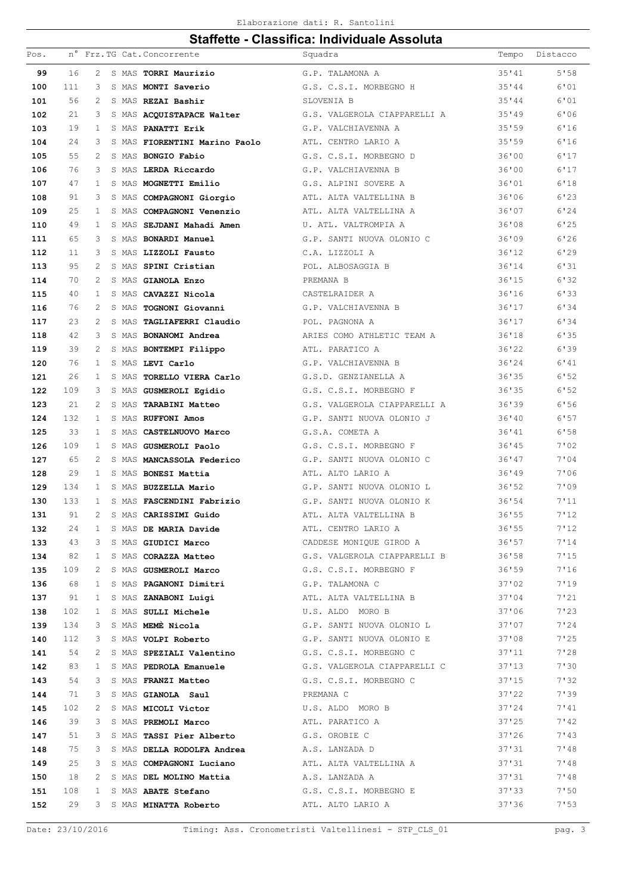| Pos. |     |                |  | n° Frz. TG Cat. Concorrente                      | Squadra                                                                                         | Tempo  | Distacco |
|------|-----|----------------|--|--------------------------------------------------|-------------------------------------------------------------------------------------------------|--------|----------|
| 99   | 16  | 2              |  | S MAS TORRI Maurizio                             | G.P. TALAMONA A                                                                                 | 35'41  | 5'58     |
| 100  | 111 | 3              |  | S MAS MONTI Saverio                              | G.S. C.S.I. MORBEGNO H                                                                          | 35'44  | 6'01     |
| 101  | 56  | 2              |  | S MAS REZAI Bashir                               | SLOVENIA B                                                                                      | 35'44  | 6'01     |
| 102  | 21  | 3              |  | S MAS ACQUISTAPACE Walter                        | G.S. VALGEROLA CIAPPARELLI A                                                                    | 35'19  | 6'06     |
| 103  | 19  | 1              |  | S MAS PANATTI Erik                               | G.P. VALCHIAVENNA A                                                                             | 35'59  | 6'16     |
| 104  | 24  | 3              |  | S MAS FIORENTINI Marino Paolo                    | ATL. CENTRO LARIO A                                                                             | 35'59  | 6'16     |
| 105  | 55  | 2              |  | S MAS BONGIO Fabio                               | G.S. C.S.I. MORBEGNO D                                                                          | 36'00  | 6'17     |
| 106  | 76  | 3              |  | S MAS LERDA Riccardo                             | G.P. VALCHIAVENNA B                                                                             | 36'00  | 6'17     |
| 107  | 47  | $\mathbf{1}$   |  | S MAS MOGNETTI Emilio                            | G.S. ALPINI SOVERE A                                                                            | 36'01  | 6'18     |
| 108  | 91  | 3              |  | S MAS COMPAGNONI Giorgio                         | ATL. ALTA VALTELLINA B                                                                          | 36'06  | 6'23     |
| 109  | 25  | 1              |  | S MAS COMPAGNONI Venenzio                        | ATL. ALTA VALTELLINA A                                                                          | 36'07  | 6'24     |
| 110  | 49  | $\mathbf{1}$   |  | S MAS SEJDANI Mahadi Amen                        | U. ATL. VALTROMPIA A                                                                            | 36'08  | 6'25     |
| 111  | 65  | 3              |  | S MAS BONARDI Manuel                             | G.P. SANTI NUOVA OLONIO C                                                                       | 36'09  | 6'26     |
| 112  | 11  | 3              |  | S MAS LIZZOLI Fausto                             | C.A. LIZZOLI A                                                                                  | 36'12  | 6'29     |
| 113  | 95  | 2              |  | S MAS SPINI Cristian                             | POL. ALBOSAGGIA B                                                                               | 36'14  | 6'31     |
| 114  | 70  | $\mathfrak{D}$ |  | S MAS GIANOLA Enzo                               | PREMANA B                                                                                       | 36'15  | 6'32     |
| 115  | 40  | 1              |  | S MAS CAVAZZI Nicola                             | CASTELRAIDER A                                                                                  | 36'16  | 6'33     |
| 116  | 76  | 2              |  | S MAS TOGNONI Giovanni                           | G.P. VALCHIAVENNA B                                                                             | 36'17  | 6'34     |
| 117  | 23  | $\mathfrak{D}$ |  | S MAS TAGLIAFERRI Claudio                        | POL. PAGNONA A                                                                                  | 36'17  | 6'34     |
| 118  | 42  | 3              |  | S MAS BONANOMI Andrea                            | ARIES COMO ATHLETIC TEAM A                                                                      | 36'18  | 6'35     |
| 119  | 39  | 2              |  | S MAS BONTEMPI Filippo                           | ATL. PARATICO A                                                                                 | 36'22  | 6'39     |
| 120  | 76  | $\mathbf{1}$   |  | S MAS LEVI Carlo                                 | G.P. VALCHIAVENNA B                                                                             | 36'24  | 6'41     |
| 121  | 26  | 1              |  | S MAS TORELLO VIERA Carlo                        | G.S.D. GENZIANELLA A                                                                            | 36'35  | 6'52     |
| 122  | 109 | 3              |  | S MAS GUSMEROLI Egidio                           | G.S. C.S.I. MORBEGNO F                                                                          | 36'35  | 6'52     |
| 123  | 21  | 2              |  | S MAS TARABINI Matteo                            | G.S. VALGEROLA CIAPPARELLI A                                                                    | 36'39  | 6'56     |
| 124  | 132 | 1              |  | S MAS RUFFONI Amos                               | G.P. SANTI NUOVA OLONIO J                                                                       | 36'40  | 6'57     |
| 125  | 33  | $\mathbf{1}$   |  | S MAS CASTELNUOVO Marco                          | G.S.A. COMETA A                                                                                 | 36'41  | 6'58     |
| 126  | 109 | 1              |  | S MAS GUSMEROLI Paolo                            | G.S. C.S.I. MORBEGNO F                                                                          | 36'145 | 7'02     |
| 127  | 65  | 2              |  | S MAS MANCASSOLA Federico                        | G.P. SANTI NUOVA OLONIO C                                                                       | 36'47  | 7'04     |
| 128  | 29  | $\mathbf{1}$   |  | S MAS BONESI Mattia                              | ATL. ALTO LARIO A                                                                               | 36'19  | 7'06     |
| 129  | 134 | 1              |  | S MAS BUZZELLA Mario                             | G.P. SANTI NUOVA OLONIO L                                                                       | 36'52  | 7'09     |
| 130  | 133 | $\mathbf{1}$   |  | S MAS FASCENDINI Fabrizio                        | G.P. SANTI NUOVA OLONIO K                                                                       | 36'54  | 7'11     |
| 131  | 91  | $\overline{c}$ |  | S MAS CARISSIMI Guido                            | ATL. ALTA VALTELLINA B                                                                          | 36'55  | 7'12     |
| 132  | 24  | $\mathbf{1}$   |  | S MAS DE MARIA Davide                            | ATL. CENTRO LARIO A                                                                             | 36'55  | 7'12     |
| 133  | 43  | 3              |  |                                                  | S MAS GIUDICI Marco CADDESE MONIQUE GIROD A 36'57                                               |        | 7'14     |
| 134  | 82  |                |  |                                                  | 1 S MAS CORAZZA Matteo 6.S. VALGEROLA CIAPPARELLI B 36'58                                       |        | 7'15     |
| 135  | 109 | 2              |  |                                                  | S MAS GUSMEROLI Marco G.S. C.S.I. MORBEGNO F 36'59                                              |        | 7'16     |
| 136  | 68  | $\mathbf{1}$   |  | S MAS PAGANONI Dimitri (G.P. TALAMONA C          |                                                                                                 | 37'02  | 7'19     |
| 137  | 91  | $\mathbf{1}$   |  |                                                  | S MAS ZANABONI Luigi ATL. ALTA VALTELLINA B 37'04                                               |        | 7'21     |
| 138  | 102 | $\mathbf{1}$   |  | S MAS SULLI Michele <b>1988</b> U.S. ALDO MORO B | 37'06                                                                                           |        | 7'23     |
| 139  | 134 | 3              |  |                                                  | S MAS MEME Nicola G.P. SANTI NUOVA OLONIO L 37'07                                               |        | 7'24     |
| 140  | 112 | 3              |  |                                                  | S MAS VOLPI Roberto G.P. SANTI NUOVA OLONIO E 37'08                                             |        | 7'25     |
| 141  | 54  | 2              |  |                                                  | S MAS SPEZIALI Valentino G.S. C.S.I. MORBEGNO C 37'11                                           |        | 7'28     |
| 142  | 83  | 1              |  | S MAS PEDROLA Emanuele                           | G.S. VALGEROLA CIAPPARELLI C 37'13                                                              |        | 7'30     |
| 143  | 54  | 3              |  |                                                  | S MAS FRANZI Matteo G.S. C.S.I. MORBEGNO C                                                      | 37'15  | 7'32     |
| 144  | 71  | 3              |  | S MAS GIANOLA Saul <b>Saul</b> PREMANA C         |                                                                                                 | 37'22  | 7'39     |
| 145  | 102 | 2              |  |                                                  | S MAS MICOLI Victor U.S. ALDO MORO B                                                            | 37'24  | 7'41     |
| 146  | 39  | 3              |  |                                                  | S MAS PREMOLI Marco<br>S MAS TASSI Pier Alberto<br>S MAS DELLA RODOLFA Andrea<br>A.S. LANZADA D | 37'25  | 7'42     |
| 147  | 51  | 3              |  |                                                  |                                                                                                 | 37'26  | 7'13     |
| 148  | 75  | 3              |  |                                                  |                                                                                                 | 37'31  | 7'48     |
| 149  | 25  | 3              |  |                                                  | S MAS COMPAGNONI Luciano ATL. ALTA VALTELLINA A                                                 | 37'31  | 7'48     |
| 150  | 18  | 2              |  | S MAS DEL MOLINO Mattia A.S. LANZADA A           |                                                                                                 | 37'31  | 7'48     |
| 151  | 108 | $\mathbf{1}$   |  |                                                  | S MAS ABATE Stefano G.S. C.S.I. MORBEGNO E                                                      | 37'33  | 7:50     |
| 152  | 29  |                |  |                                                  | 3 S MAS MINATTA Roberto ATL. ALTO LARIO A                                                       | 37'36  | 7:53     |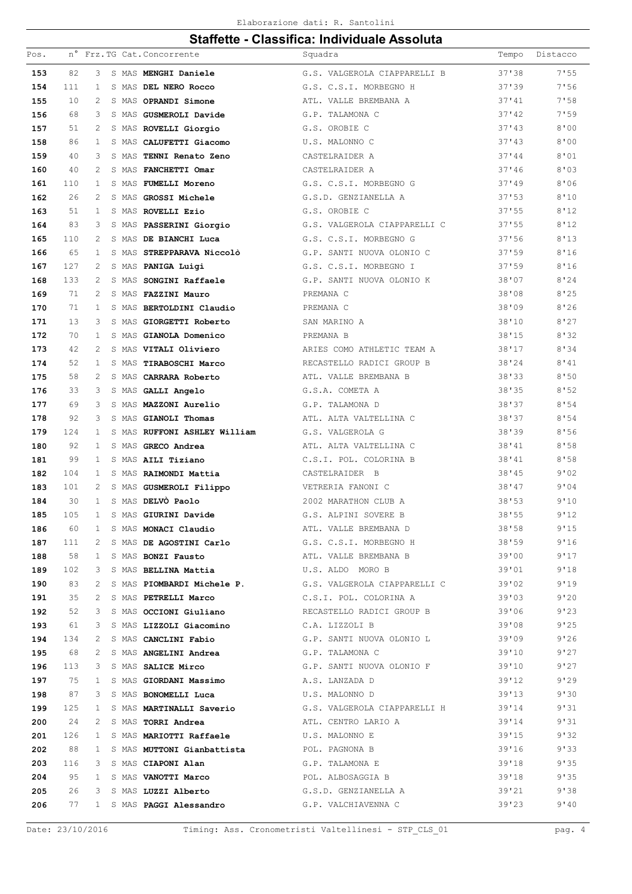| Pos.       |           |                |       | n° Frz.TG Cat. Concorrente   | Squadra                                                                                                                                                                                       | Tempo  | Distacco     |
|------------|-----------|----------------|-------|------------------------------|-----------------------------------------------------------------------------------------------------------------------------------------------------------------------------------------------|--------|--------------|
| 153        | 82        | 3              |       | S MAS MENGHI Daniele         | G.S. VALGEROLA CIAPPARELLI B                                                                                                                                                                  | 37'38  | 7'55         |
| 154        | 111       | $\mathbf{1}$   |       | S MAS DEL NERO Rocco         | G.S. C.S.I. MORBEGNO H                                                                                                                                                                        | 37'39  | 7'56         |
| 155        | 10        | 2              |       | S MAS OPRANDI Simone         | ATL. VALLE BREMBANA A                                                                                                                                                                         | 37'41  | 7'58         |
| 156        | 68        | 3              |       | S MAS GUSMEROLI Davide       | G.P. TALAMONA C                                                                                                                                                                               | 37'42  | 7'59         |
| 157        | 51        | $\overline{c}$ |       | S MAS ROVELLI Giorgio        | G.S. OROBIE C                                                                                                                                                                                 | 37'13  | 8'00         |
| 158        | 86        | $\mathbf{1}$   |       | S MAS CALUFETTI Giacomo      | U.S. MALONNO C                                                                                                                                                                                | 37'13  | 8'00         |
| 159        | 40        | 3              | S MAS | TENNI Renato Zeno            | CASTELRAIDER A                                                                                                                                                                                | 37'144 | 8'01         |
| 160        | 40        | 2              |       | S MAS FANCHETTI Omar         | CASTELRAIDER A                                                                                                                                                                                | 37'46  | 8'03         |
| 161        | 110       | 1              |       | S MAS FUMELLI Moreno         | G.S. C.S.I. MORBEGNO G                                                                                                                                                                        | 37'19  | 8'06         |
| 162        | 26        | 2              | S MAS | <b>GROSSI Michele</b>        | G.S.D. GENZIANELLA A                                                                                                                                                                          | 37'53  | 8'10         |
| 163        | 51        | $\mathbf{1}$   |       | S MAS ROVELLI Ezio           | G.S. OROBIE C                                                                                                                                                                                 | 37'55  | 8'12         |
| 164        | 83        | 3              |       | S MAS PASSERINI Giorgio      | G.S. VALGEROLA CIAPPARELLI C                                                                                                                                                                  | 37'55  | 8'12         |
| 165        | 110       | 2              |       | S MAS DE BIANCHI Luca        | G.S. C.S.I. MORBEGNO G                                                                                                                                                                        | 37'56  | 8'13         |
| 166        | 65        | $\mathbf{1}$   |       | S MAS STREPPARAVA Niccolò    | G.P. SANTI NUOVA OLONIO C                                                                                                                                                                     | 37'59  | 8'16         |
| 167        | 127       | 2              |       | S MAS PANIGA Luigi           | G.S. C.S.I. MORBEGNO I                                                                                                                                                                        | 37'59  | 8'16         |
| 168        | 133       | 2              |       | S MAS SONGINI Raffaele       | G.P. SANTI NUOVA OLONIO K                                                                                                                                                                     | 38'07  | 8'24         |
| 169        | 71        | $\overline{c}$ |       | S MAS FAZZINI Mauro          | PREMANA C                                                                                                                                                                                     | 38'08  | 8'25         |
| 170        | 71        | $\mathbf{1}$   |       | S MAS BERTOLDINI Claudio     | PREMANA C                                                                                                                                                                                     | 38'09  | 8'26         |
| 171        | 13        | 3              | S MAS | GIORGETTI Roberto            | SAN MARINO A                                                                                                                                                                                  | 38'10  | 8'27         |
| 172        | 70        | $\mathbf{1}$   |       | S MAS GIANOLA Domenico       | PREMANA B                                                                                                                                                                                     | 38'15  | 8'32         |
| 173        | 42        | 2              |       | S MAS VITALI Oliviero        | ARIES COMO ATHLETIC TEAM A                                                                                                                                                                    | 38'17  | 8'34         |
| 174        | 52        | $\mathbf{1}$   |       | S MAS TIRABOSCHI Marco       | RECASTELLO RADICI GROUP B                                                                                                                                                                     | 38'24  | 8'41         |
| 175        | 58        | 2              |       | S MAS CARRARA Roberto        | ATL. VALLE BREMBANA B                                                                                                                                                                         | 38'33  | 8'50         |
| 176        | 33        | 3              |       | S MAS GALLI Angelo           | G.S.A. COMETA A                                                                                                                                                                               | 38'35  | 8'52         |
| 177        | 69        | 3              |       | S MAS MAZZONI Aurelio        | G.P. TALAMONA D                                                                                                                                                                               | 38'37  | 8'54         |
| 178        | 92        | 3              |       | S MAS GIANOLI Thomas         | ATL. ALTA VALTELLINA C                                                                                                                                                                        | 38'37  | 8'54         |
| 179        | 124       | 1              |       | S MAS RUFFONI ASHLEY William | G.S. VALGEROLA G                                                                                                                                                                              | 38'39  | 8'56         |
| 180        | 92        | 1              |       | S MAS GRECO Andrea           | ATL. ALTA VALTELLINA C                                                                                                                                                                        | 38'41  | 8'58         |
| 181        | 99        | $\mathbf{1}$   |       | S MAS AILI Tiziano           | C.S.I. POL. COLORINA B                                                                                                                                                                        | 38'41  | 8'58         |
| 182        | 104       | 1              |       | S MAS RAIMONDI Mattia        | CASTELRAIDER B                                                                                                                                                                                | 38'45  | 9'02         |
| 183        | 101       | 2              |       | S MAS GUSMEROLI Filippo      | VETRERIA FANONI C                                                                                                                                                                             | 38'47  | 9'04         |
| 184        | 30        | $\mathbf{1}$   |       | S MAS DELVÒ Paolo            | 2002 MARATHON CLUB A                                                                                                                                                                          | 38'53  | 9'10         |
| 185        | 105       | $\mathbf{1}$   |       | S MAS GIURINI Davide         | G.S. ALPINI SOVERE B                                                                                                                                                                          | 38'55  | 9'12         |
| 186        | 60        | $\mathbf{1}$   |       |                              | S MAS MONACI Claudio ATL. VALLE BREMBANA D                                                                                                                                                    | 38'58  | 9'15         |
| 187        | 111       | 2              |       |                              | S MAS DE AGOSTINI Carlo G.S. C.S.I. MORBEGNO H 38'59                                                                                                                                          |        | 9'16         |
| 188        | 58        |                |       |                              | 1 S MAS BONZI Fausto ATL. VALLE BREMBANA B 39'00                                                                                                                                              |        | 9'17         |
| 189        | 102       | 3              |       |                              | S MAS BELLINA Mattia (U.S. ALDO MORO B<br>39'01                                                                                                                                               |        | 9'18         |
| 190        | 83        | $\overline{2}$ |       |                              | S MAS PIOMBARDI Michele P. G.S. VALGEROLA CIAPPARELLI C 39'02                                                                                                                                 |        | 9'19         |
| 191        | 35        | $\overline{2}$ |       |                              | S MAS PETRELLI Marco C.S.I. POL. COLORINA A                                                                                                                                                   | 39'03  | 9'20         |
| 192<br>193 | 52<br>61  | 3<br>3         |       |                              | S MAS OCCIONI Giuliano RECASTELLO RADICI GROUP B 39'06                                                                                                                                        |        | 9'23<br>9'25 |
|            |           |                |       |                              | S MAS LIZZOLI Giacomino C.A. LIZZOLI B 39'08<br>S MAS CANCLINI Fabio G.P. SANTI NUOVA OLONIO L 39'09                                                                                          |        | 9'26         |
| 194        | 134<br>68 | 2<br>2         |       |                              | S MAS ANGELINI Andrea G.P. TALAMONA C                                                                                                                                                         | 39'10  | 9'27         |
| 195<br>196 | 113       | 3              |       |                              |                                                                                                                                                                                               |        | 9'27         |
| 197        | 75        | $\mathbf{1}$   |       |                              | S MAS SALICE Mirco<br>S MAS SALICE Mirco<br>S MAS GIORDANI Massimo<br>A.S. LANZADA D<br>39'12                                                                                                 |        | 9'29         |
| 198        | 87        | 3              |       |                              | 39'13<br>S MAS BONOMELLI Luca U.S. MALONNO D                                                                                                                                                  |        | 9'30         |
| 199        | 125       | $\mathbf{1}$   |       |                              | S MAS MARTINALLI Saverio G.S. VALGEROLA CIAPPARELLI H 39'14                                                                                                                                   |        | 9'31         |
| 200        | 24        | $\overline{2}$ |       |                              | S MAS TORRI Andrea ATL. CENTRO LARIO A                                                                                                                                                        | 39'14  | 9'31         |
| 201        | 126       |                |       |                              | 1 S MAS MARIOTTI Raffaele U.S. MALONNO E                                                                                                                                                      |        | 9'32         |
| 202        | 88        | 1              |       |                              |                                                                                                                                                                                               |        | 9'33         |
| 203        | 116       | 3              |       |                              |                                                                                                                                                                                               |        | 9'35         |
| 204        | 95        | $\mathbf{1}$   |       |                              | S MAS MARIOTTI Raffaele<br>S MAS MUTTONI Gianbattista<br>S MAS CIAPONI Alan<br>S MAS CIAPONI Alan<br>S MAS VANOTTI Marco<br>POL. ALBOSAGGIA B<br>POL. ALBOSAGGIA B<br>39'18<br>39'18<br>39'18 |        | 9'35         |
| 205        | 26        | 3              |       |                              | S MAS LUZZI Alberto G.S.D. GENZIANELLA A 39'21                                                                                                                                                |        | 9'38         |
| 206        |           |                |       |                              | 77 1 S MAS PAGGI Alessandro G.P. VALCHIAVENNA C                                                                                                                                               | 39'23  | 9'40         |
|            |           |                |       |                              |                                                                                                                                                                                               |        |              |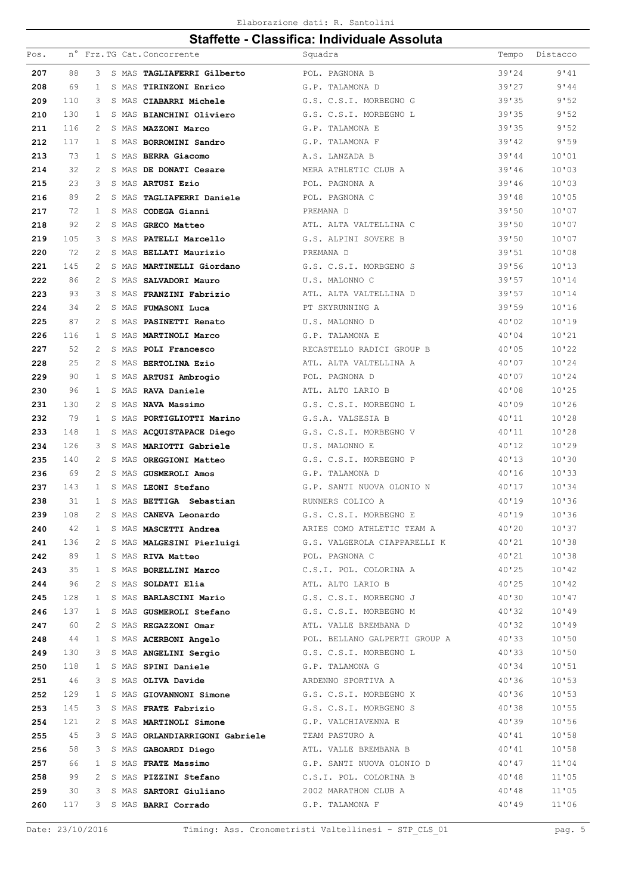#### Elaborazione dati: R. Santolini

|      |     |                |  |                                 | Ulahulut - Ulassinca. Muhimuudit Assonula                                                   |       |          |
|------|-----|----------------|--|---------------------------------|---------------------------------------------------------------------------------------------|-------|----------|
| Pos. |     |                |  | n° Frz.TG Cat. Concorrente      | Squadra                                                                                     | Tempo | Distacco |
| 207  | 88  | 3              |  | S MAS TAGLIAFERRI Gilberto      | POL. PAGNONA B                                                                              | 39'24 | 9'41     |
| 208  | 69  | 1              |  | S MAS TIRINZONI Enrico          | G.P. TALAMONA D                                                                             | 39'27 | 9'44     |
| 209  | 110 | 3              |  | S MAS CIABARRI Michele          | G.S. C.S.I. MORBEGNO G                                                                      | 39'35 | 9'52     |
| 210  | 130 | 1              |  | S MAS <b>BIANCHINI Oliviero</b> | G.S. C.S.I. MORBEGNO L                                                                      | 39'35 | 9'52     |
| 211  | 116 | 2              |  | S MAS MAZZONI Marco             | G.P. TALAMONA E                                                                             | 39'35 | 9'52     |
| 212  | 117 | 1              |  | S MAS <b>BORROMINI Sandro</b>   | G.P. TALAMONA F                                                                             | 39'42 | 9'59     |
| 213  | 73  | 1              |  | S MAS BERRA Giacomo             | A.S. LANZADA B                                                                              | 39'44 | 10'01    |
| 214  | 32  | 2              |  | S MAS DE DONATI Cesare          | MERA ATHLETIC CLUB A                                                                        | 39'46 | 10'03    |
| 215  | 23  | 3              |  | S MAS ARTUSI Ezio               | POL. PAGNONA A                                                                              | 39'46 | 10'03    |
| 216  | 89  | 2              |  | S MAS TAGLIAFERRI Daniele       | POL. PAGNONA C                                                                              | 39'48 | 10'05    |
| 217  | 72  | 1              |  | S MAS CODEGA Gianni             | PREMANA D                                                                                   | 39'50 | 10'07    |
| 218  | 92  | 2              |  | S MAS GRECO Matteo              | ATL. ALTA VALTELLINA C                                                                      | 39'50 | 10'07    |
| 219  | 105 | 3              |  | S MAS PATELLI Marcello          | G.S. ALPINI SOVERE B                                                                        | 39'50 | 10'07    |
| 220  | 72  | 2              |  | S MAS BELLATI Maurizio          | PREMANA D                                                                                   | 39'51 | 10'08    |
| 221  | 145 | 2              |  | S MAS MARTINELLI Giordano       | G.S. C.S.I. MORBGENO S                                                                      | 39'56 | 10'13    |
| 222  | 86  | 2              |  | S MAS SALVADORI Mauro           | U.S. MALONNO C                                                                              | 39'57 | 10'14    |
| 223  | 93  | 3              |  | S MAS FRANZINI Fabrizio         | ATL. ALTA VALTELLINA D                                                                      | 39'57 | 10'14    |
| 224  | 34  | 2              |  | S MAS FUMASONI Luca             | PT SKYRUNNING A                                                                             | 39'59 | 10'16    |
| 225  | 87  | 2              |  | S MAS PASINETTI Renato          | U.S. MALONNO D                                                                              | 40'02 | 10'19    |
| 226  | 116 | 1              |  | S MAS MARTINOLI Marco           | G.P. TALAMONA E                                                                             | 40'04 | 10'21    |
| 227  | 52  | 2              |  | S MAS POLI Francesco            | RECASTELLO RADICI GROUP B                                                                   | 40'05 | 10'22    |
| 228  | 25  | 2              |  | S MAS BERTOLINA Ezio            | ATL. ALTA VALTELLINA A                                                                      | 40'07 | 10'24    |
| 229  | 90  | 1              |  | S MAS <b>ARTUSI Ambrogio</b>    | POL. PAGNONA D                                                                              | 40'07 | 10'24    |
| 230  | 96  | 1              |  | S MAS RAVA Daniele              | ATL. ALTO LARIO B                                                                           | 40'08 | 10'25    |
| 231  | 130 | 2              |  | S MAS NAVA Massimo              | G.S. C.S.I. MORBEGNO L                                                                      | 40'09 | 10'26    |
| 232  | 79  | 1              |  | S MAS PORTIGLIOTTI Marino       | G.S.A. VALSESIA B                                                                           | 40'11 | 10'28    |
| 233  | 148 | 1              |  | S MAS ACQUISTAPACE Diego        | G.S. C.S.I. MORBEGNO V                                                                      | 40'11 | 10'28    |
| 234  | 126 | 3              |  | S MAS MARIOTTI Gabriele         | U.S. MALONNO E                                                                              | 40'12 | 10'29    |
| 235  | 140 | 2              |  | S MAS OREGGIONI Matteo          | G.S. C.S.I. MORBEGNO P                                                                      | 40'13 | 10'30    |
| 236  | 69  | 2              |  | S MAS GUSMEROLI Amos            | G.P. TALAMONA D                                                                             | 40'16 | 10'33    |
| 237  | 143 | $\mathbf{1}$   |  | S MAS LEONI Stefano             | G.P. SANTI NUOVA OLONIO N                                                                   | 40'17 | 10'34    |
| 238  | 31  | $\mathbf{1}$   |  | S MAS BETTIGA Sebastian         | RUNNERS COLICO A                                                                            | 40'19 | 10'36    |
| 239  | 108 | $\overline{2}$ |  | S MAS CANEVA Leonardo           | G.S. C.S.I. MORBEGNO E                                                                      | 40'19 | 10'36    |
| 240  | 42  | $\mathbf{1}$   |  |                                 | S MAS MASCETTI Andrea ARIES COMO ATHLETIC TEAM A 40'20                                      |       | 10'37    |
| 241  | 136 | $2 -$          |  |                                 | S MAS MALGESINI Pierluigi G.S. VALGEROLA CIAPPARELLI K 40'21                                |       | 10'38    |
| 242  | 89  | $\mathbf{1}$   |  | S MAS RIVA Matteo               | POL. PAGNONA C                                                                              | 40'21 | 10'38    |
| 243  | 35  | $\mathbf{1}$   |  |                                 | S MAS BORELLINI Marco C.S.I. POL. COLORINA A 40'25                                          |       | 10'42    |
| 244  | 96  | 2              |  |                                 | 40'25<br>S MAS SOLDATI Elia (1994) ATL. ALTO LARIO B                                        |       | 10'12    |
| 245  | 128 | $\mathbf{1}$   |  |                                 | S MAS BARLASCINI Mario 6.S. C.S.I. MORBEGNO J 40'30                                         |       | 10'47    |
| 246  | 137 | 1              |  |                                 | S MAS GUSMEROLI Stefano G.S. C.S.I. MORBEGNO M 40'32                                        |       | 10'49    |
| 247  | 60  | 2              |  |                                 | S MAS REGAZZONI Omar Math ATL. VALLE BREMBANA D<br>40'32                                    |       | 10'49    |
| 248  | 44  | $\mathbf{1}$   |  |                                 | S MAS ACERBONI Angelo POL. BELLANO GALPERTI GROUP A 40'33                                   |       | 10'50    |
| 249  | 130 | 3              |  |                                 | S MAS ANGELINI Sergio G.S. C.S.I. MORBEGNO L                                                | 40'33 | 10'50    |
| 250  | 118 | 1              |  |                                 | S MAS SPINI Daniele G.P. TALAMONA G                                                         | 40'34 | 10'51    |
| 251  | 46  | 3              |  |                                 | S MAS OLIVA Davide ARDENNO SPORTIVA A 40'36                                                 |       | 10'53    |
| 252  | 129 | $\mathbf{1}$   |  |                                 | S MAS GIOVANNONI Simone G.S. C.S.I. MORBEGNO K 40'36                                        |       | 10'53    |
| 253  | 145 | 3              |  | S MAS FRATE Fabrizio            | G.S. C.S.I. MORBGENO S 40'38                                                                |       | 10'55    |
| 254  | 121 | 2              |  |                                 |                                                                                             | 40'39 | 10'56    |
| 255  | 45  | 3              |  |                                 | S MAS MARTINOLI Simone G.P. VALCHIAVENNA E<br>S MAS ORLANDIARRIGONI Gabriele TEAM PASTURO A | 40'41 | 10'58    |
| 256  | 58  | 3              |  |                                 | S MAS GABOARDI Diego $ATL$ . VALLE BREMBANA B $40'41$                                       |       | 10'58    |
| 257  | 66  | 1              |  |                                 | S MAS FRATE Massimo G.P. SANTI NUOVA OLONIO D 40'47                                         |       | 11'04    |
| 258  | 99  | 2              |  |                                 | S MAS PIZZINI Stefano C.S.I. POL. COLORINA B 40'48                                          |       | 11'05    |
| 259  | 30  | 3              |  | S MAS SARTORI Giuliano          | 2002 MARATHON CLUB A                                                                        | 40'38 | 11'05    |
| 260  | 117 | 3              |  | S MAS BARRI Corrado             | G.P. TALAMONA F                                                                             | 40'19 | 11'06    |
|      |     |                |  |                                 |                                                                                             |       |          |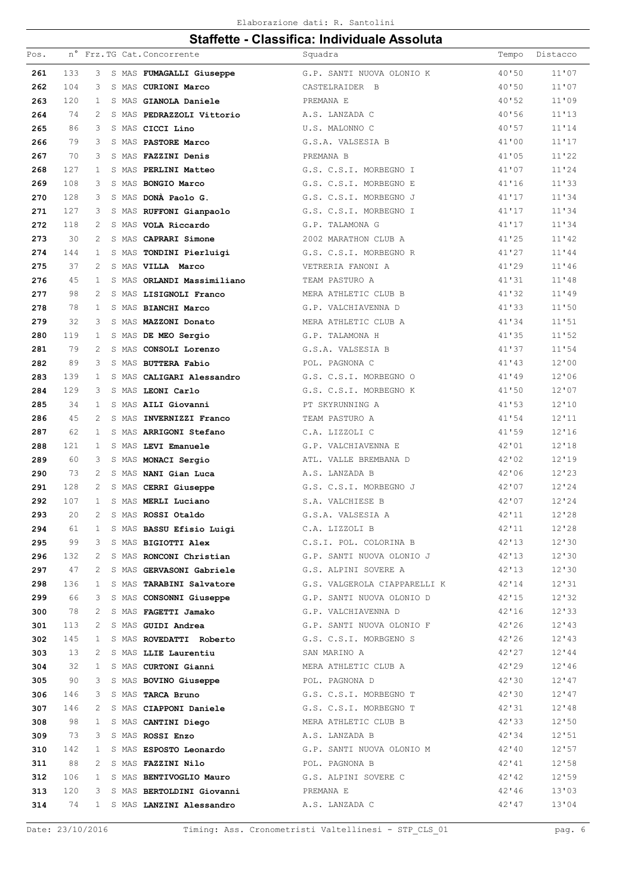#### Elaborazione dati: R. Santolini

| Pos. |     |                |  | n° Frz.TG Cat. Concorrente                     | Squadra                                                                                              | Tempo          | Distacco |
|------|-----|----------------|--|------------------------------------------------|------------------------------------------------------------------------------------------------------|----------------|----------|
| 261  | 133 | 3              |  | S MAS FUMAGALLI Giuseppe                       | G.P. SANTI NUOVA OLONIO K                                                                            | 40'50          | 11'07    |
| 262  | 104 | 3              |  | S MAS CURIONI Marco                            | CASTELRAIDER B                                                                                       | 40'50          | 11'07    |
| 263  | 120 | 1              |  | S MAS GIANOLA Daniele                          | PREMANA E                                                                                            | 40'52          | 11'09    |
| 264  | 74  | 2              |  | S MAS PEDRAZZOLI Vittorio                      | A.S. LANZADA C                                                                                       | 40'56          | 11'13    |
| 265  | 86  | 3              |  | S MAS CICCI Lino                               | U.S. MALONNO C                                                                                       | 40'57          | 11'14    |
| 266  | 79  | 3              |  | S MAS PASTORE Marco                            | G.S.A. VALSESIA B                                                                                    | 41'00          | 11'17    |
| 267  | 70  | 3              |  | S MAS FAZZINI Denis                            | PREMANA B                                                                                            | 41'05          | 11'22    |
| 268  | 127 | 1              |  | S MAS PERLINI Matteo                           | G.S. C.S.I. MORBEGNO I                                                                               | 41'07          | 11'24    |
| 269  | 108 | 3              |  | S MAS BONGIO Marco                             | G.S. C.S.I. MORBEGNO E                                                                               | 41'16          | 11'33    |
| 270  | 128 | 3              |  | S MAS DONÀ Paolo G.                            | G.S. C.S.I. MORBEGNO J                                                                               | 41'17          | 11'34    |
| 271  | 127 | 3              |  |                                                | G.S. C.S.I. MORBEGNO I                                                                               | 41'17          | 11'34    |
| 272  | 118 | 2              |  | S MAS RUFFONI Gianpaolo<br>S MAS VOLA Riccardo | G.P. TALAMONA G                                                                                      | 41'17          | 11'34    |
|      | 30  |                |  |                                                |                                                                                                      |                |          |
| 273  |     | 2              |  | S MAS CAPRARI Simone                           | 2002 MARATHON CLUB A<br>G.S. C.S.I. MORBEGNO R                                                       | 41'25<br>41'27 | 11'42    |
| 274  | 144 | 1              |  | S MAS TONDINI Pierluigi                        |                                                                                                      |                | 11'44    |
| 275  | 37  | 2              |  | S MAS VILLA Marco                              | VETRERIA FANONI A                                                                                    | 41'29          | 11'46    |
| 276  | 45  | $\mathbf{1}$   |  | S MAS ORLANDI Massimiliano                     | TEAM PASTURO A                                                                                       | 41'31          | 11'18    |
| 277  | 98  | 2              |  | S MAS LISIGNOLI Franco                         | MERA ATHLETIC CLUB B                                                                                 | 41'32          | 11'49    |
| 278  | 78  | $\mathbf{1}$   |  | S MAS BIANCHI Marco                            | G.P. VALCHIAVENNA D                                                                                  | 41'33          | 11'50    |
| 279  | 32  | 3              |  | S MAS MAZZONI Donato                           | MERA ATHLETIC CLUB A                                                                                 | 41'34          | 11'51    |
| 280  | 119 | 1              |  | S MAS DE MEO Sergio                            | G.P. TALAMONA H                                                                                      | 41'35          | 11'52    |
| 281  | 79  | 2              |  | S MAS CONSOLI Lorenzo                          | G.S.A. VALSESIA B                                                                                    | 41'37          | 11'54    |
| 282  | 89  | 3              |  | S MAS BUTTERA Fabio                            | POL. PAGNONA C                                                                                       | 41'43          | 12'00    |
| 283  | 139 | 1              |  | S MAS CALIGARI Alessandro                      | G.S. C.S.I. MORBEGNO O                                                                               | 41'49          | 12'06    |
| 284  | 129 | 3              |  | S MAS LEONI Carlo                              | G.S. C.S.I. MORBEGNO K                                                                               | 41'50          | 12'07    |
| 285  | 34  | $\mathbf{1}$   |  | S MAS AILI Giovanni                            | PT SKYRUNNING A                                                                                      | 41'53          | 12'10    |
| 286  | 45  | 2              |  | S MAS INVERNIZZI Franco                        | TEAM PASTURO A                                                                                       | 41'54          | 12'11    |
| 287  | 62  | 1              |  | S MAS ARRIGONI Stefano                         | C.A. LIZZOLI C                                                                                       | 41'59          | 12'16    |
| 288  | 121 | $\mathbf{1}$   |  | S MAS LEVI Emanuele                            | G.P. VALCHIAVENNA E                                                                                  | 42'01          | 12'18    |
| 289  | 60  | 3              |  | S MAS MONACI Sergio                            | ATL. VALLE BREMBANA D                                                                                | 42'02          | 12'19    |
| 290  | 73  | 2              |  | S MAS NANI Gian Luca                           | A.S. LANZADA B                                                                                       | 42'06          | 12'23    |
| 291  | 128 | 2              |  | S MAS CERRI Giuseppe                           | G.S. C.S.I. MORBEGNO J                                                                               | 42'07          | 12'24    |
| 292  | 107 | $\mathbf{1}$   |  | S MAS MERLI Luciano                            | S.A. VALCHIESE B                                                                                     | 42'07          | 12'24    |
| 293  | 20  | $\overline{c}$ |  | S MAS ROSSI Otaldo                             | G.S.A. VALSESIA A                                                                                    | 42'11          | 12'28    |
| 294  | 61  | 1              |  |                                                | S MAS BASSU Efisio Luigi C.A. LIZZOLI B                                                              | 42'11          | 12'28    |
| 295  | 99  | 3              |  |                                                | S MAS BIGIOTTI Alex C.S.I. POL. COLORINA B                                                           | 42'13          | 12'30    |
| 296  | 132 | $2^{\circ}$    |  |                                                | S MAS RONCONI Christian G.P. SANTI NUOVA OLONIO J 42'13                                              |                | 12'30    |
| 297  | 47  | 2              |  |                                                | S MAS GERVASONI Gabriele G.S. ALPINI SOVERE A<br>42'13                                               |                | 12'30    |
| 298  | 136 | $\mathbf{1}$   |  |                                                | S MAS TARABINI Salvatore G.S. VALGEROLA CIAPPARELLI K 42'14                                          |                | 12'31    |
| 299  | 66  | 3              |  |                                                | S MAS CONSONNI Giuseppe 6.P. SANTI NUOVA OLONIO D 42'15                                              |                | 12'32    |
| 300  | 78  | 2              |  |                                                | 42'16<br>S MAS FAGETTI Jamako (G.P. VALCHIAVENNA D                                                   |                | 12'33    |
| 301  | 113 | 2              |  |                                                | S MAS GUIDI Andrea G.P. SANTI NUOVA OLONIO F 42'26                                                   |                | 12'43    |
| 302  | 145 | $\mathbf{1}$   |  |                                                | S MAS ROVEDATTI Roberto G.S. C.S.I. MORBGENO S 42'26                                                 |                | 12'13    |
| 303  | 13  | 2              |  | S MAS LLIE Laurentiu                           | SAN MARINO A                                                                                         | 42'27          | 12'44    |
| 304  | 32  | $\mathbf{1}$   |  |                                                | S MAS CURTONI Gianni<br>S MAS BOVINO Giuseppe<br>POL. PAGNONA D                                      | 42'29          | 12'46    |
| 305  | 90  | $\mathbf{3}$   |  |                                                |                                                                                                      | 42'30          | 12'17    |
| 306  | 146 | $\mathbf{3}$   |  | S MAS TARCA Bruno                              | G.S. C.S.I. MORBEGNO T                                                                               | 42'30          | 12'47    |
| 307  | 146 | 2              |  |                                                | S MAS CIAPPONI Daniele G.S. C.S.I. MORBEGNO T                                                        | 42'31          | 12'48    |
| 308  | 98  | $\mathbf{1}$   |  |                                                | S MAS CANTINI Diego MERA ATHLETIC CLUB B                                                             | 42'33          | 12'50    |
| 309  | 73  | 3              |  |                                                | S MAS ROSSI Enzo<br>S MAS ROSSI Enzo<br>S MAS ESPOSTO Leonardo<br>G.P. SANTI NUOVA OLONIO M<br>42'40 |                | 12'51    |
| 310  | 142 | $\mathbf{1}$   |  |                                                |                                                                                                      |                | 12'57    |
| 311  | 88  | 2              |  |                                                | S MAS FAZZINI Nilo POL. PAGNONA B                                                                    | 42'11          | 12'58    |
| 312  | 106 | $\mathbf{1}$   |  |                                                | S MAS BENTIVOGLIO Mauro G.S. ALPINI SOVERE C                                                         | $42'$ 42       | 12'59    |
| 313  | 120 | 3              |  | S MAS BERTOLDINI Giovanni PREMANA E            |                                                                                                      | 42'146         | 13'03    |
| 314  | 74  | 1              |  | S MAS LANZINI Alessandro                       | A.S. LANZADA C                                                                                       | 42'47          | 13'04    |
|      |     |                |  |                                                |                                                                                                      |                |          |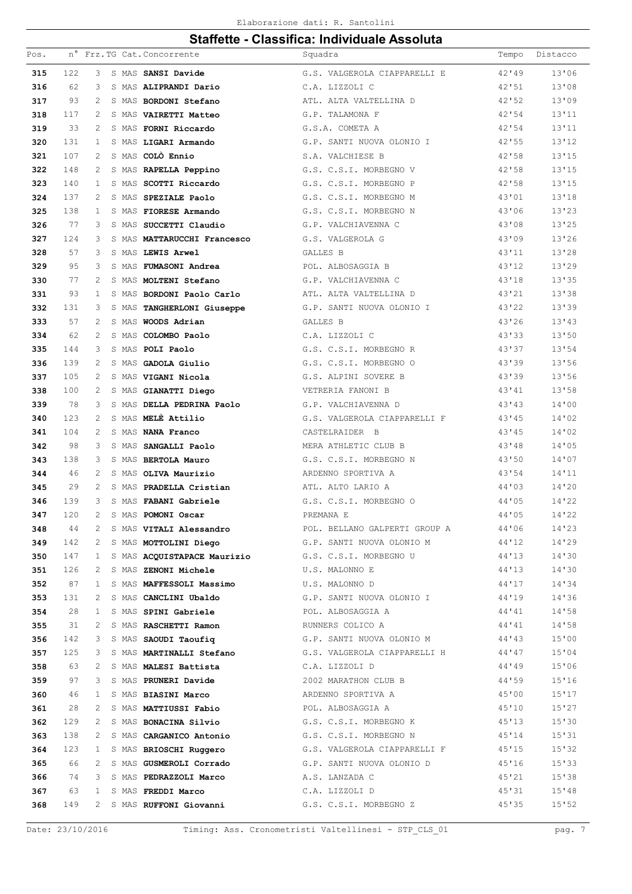| Pos.       |           |                   |  | n° Frz.TG Cat. Concorrente                                      | Squadra                                                     | Tempo          | Distacco       |
|------------|-----------|-------------------|--|-----------------------------------------------------------------|-------------------------------------------------------------|----------------|----------------|
| 315        | 122       | 3                 |  | S MAS SANSI Davide                                              | G.S. VALGEROLA CIAPPARELLI E                                | 42'49          | 13'06          |
| 316        | 62        | 3                 |  | S MAS ALIPRANDI Dario                                           | C.A. LIZZOLI C                                              | 42'51          | 13'08          |
| 317        | 93        | 2                 |  | S MAS BORDONI Stefano                                           | ATL. ALTA VALTELLINA D                                      | 42'52          | 13'09          |
| 318        | 117       | 2                 |  | S MAS VAIRETTI Matteo                                           | G.P. TALAMONA F                                             | 42'54          | 13'11          |
| 319        | 33        | 2                 |  | S MAS FORNI Riccardo                                            | G.S.A. COMETA A                                             | 42'54          | 13'11          |
| 320        | 131       | $\mathbf{1}$      |  | S MAS LIGARI Armando                                            | G.P. SANTI NUOVA OLONIO I                                   | 42'55          | 13'12          |
| 321        | 107       | 2                 |  | S MAS COLÒ Ennio                                                | S.A. VALCHIESE B                                            | 42'58          | 13'15          |
| 322        | 148       | 2                 |  | S MAS RAPELLA Peppino                                           | G.S. C.S.I. MORBEGNO V                                      | 42'58          | 13'15          |
| 323        | 140       | 1                 |  | S MAS SCOTTI Riccardo                                           | G.S. C.S.I. MORBEGNO P                                      | 42'58          | 13'15          |
| 324        | 137       | 2                 |  | S MAS SPEZIALE Paolo                                            | G.S. C.S.I. MORBEGNO M                                      | 43'01          | 13'18          |
| 325        | 138       | $\mathbf{1}$      |  | S MAS FIORESE Armando                                           | G.S. C.S.I. MORBEGNO N                                      | 43'06          | 13'23          |
| 326        | 77        | 3                 |  | S MAS SUCCETTI Claudio                                          | G.P. VALCHIAVENNA C                                         | 43'08          | 13'25          |
| 327        | 124       | 3                 |  | S MAS MATTARUCCHI Francesco                                     | G.S. VALGEROLA G                                            | 43'09          | 13'26          |
| 328        | 57        | 3                 |  | S MAS LEWIS Arwel                                               | GALLES B                                                    | 43'11          | 13'28          |
| 329        | 95        | 3                 |  | S MAS FUMASONI Andrea                                           | POL. ALBOSAGGIA B                                           | 43'12          | 13'29          |
| 330        | 77        | $\overline{c}$    |  | S MAS MOLTENI Stefano                                           | G.P. VALCHIAVENNA C                                         | 43'18          | 13'35          |
| 331        | 93        | $\mathbf{1}$      |  | S MAS BORDONI Paolo Carlo                                       | ATL. ALTA VALTELLINA D                                      | 43'21          | 13'38          |
| 332        | 131       | 3                 |  | S MAS TANGHERLONI Giuseppe                                      | G.P. SANTI NUOVA OLONIO I                                   | 43'22          | 13'39          |
| 333        | 57        | $\overline{c}$    |  | S MAS WOODS Adrian                                              | <b>GALLES B</b>                                             | 43'26          | 13'43          |
| 334        | 62        | 2                 |  | S MAS COLOMBO Paolo                                             | C.A. LIZZOLI C                                              | 43'33          | 13'50          |
| 335        | 144       | 3                 |  | S MAS POLI Paolo                                                | G.S. C.S.I. MORBEGNO R                                      | 43'37          | 13'54          |
| 336        | 139       | 2                 |  | S MAS GADOLA Giulio                                             | G.S. C.S.I. MORBEGNO O                                      | 43'39          | 13'56          |
| 337        | 105       | 2                 |  | S MAS VIGANI Nicola                                             | G.S. ALPINI SOVERE B                                        | 43'39          | 13'56          |
| 338        | 100       | 2                 |  | S MAS GIANATTI Diego                                            | VETRERIA FANONI B                                           | 43'41          | 13'58          |
| 339        | 78        | 3                 |  | S MAS DELLA PEDRINA Paolo                                       | G.P. VALCHIAVENNA D                                         | 43'43          | 14'00          |
| 340        | 123       | 2                 |  | S MAS MELE Attilio                                              | G.S. VALGEROLA CIAPPARELLI F                                | 43'45          | 14'02          |
| 341        | 104       | 2                 |  | S MAS NANA Franco                                               | CASTELRAIDER B                                              | 43'45          | 14'02          |
| 342        | 98        | 3                 |  | S MAS SANGALLI Paolo                                            | MERA ATHLETIC CLUB B                                        | 43'48          | 14'05          |
| 343        | 138       | 3                 |  | S MAS BERTOLA Mauro                                             | G.S. C.S.I. MORBEGNO N                                      | 43'50          | 14'07          |
| 344        | 46        | 2                 |  | S MAS OLIVA Maurizio                                            | ARDENNO SPORTIVA A                                          | 43'54          | 14'11          |
| 345        | 29        | 2                 |  | S MAS PRADELLA Cristian                                         | ATL. ALTO LARIO A                                           | 44'03          | 14'20          |
| 346        | 139       | 3                 |  | S MAS FABANI Gabriele                                           | G.S. C.S.I. MORBEGNO O                                      | 44'05          | 14'22          |
| 347        | 120       | $\overline{2}$    |  | S MAS POMONI Oscar                                              | PREMANA E                                                   | 44'05          | 14'22          |
| 348        | 44        | 2                 |  | S MAS <b>VITALI Alessandro</b><br>S MAS <b>MOTTOLINI Diego</b>  | POL. BELLANO GALPERTI GROUP A                               | 44'06          | 14'23          |
| 349        | 142       | 2                 |  |                                                                 | G.P. SANTI NUOVA OLONIO M 44'12                             |                | 14'29          |
| 350        | 147       | $\mathbf{1}$      |  |                                                                 | S MAS ACQUISTAPACE Maurizio G.S. C.S.I. MORBEGNO U 44'13    |                | 14'30          |
| 351<br>352 | 126<br>87 | 2<br>$\mathbf{1}$ |  | S MAS ZENONI Michele<br>S MAS MAFFESSOLI Massimo U.S. MALONNO D | U.S. MALONNO E                                              | 44'13<br>44'17 | 14'30<br>14'34 |
| 353        | 131       | 2                 |  |                                                                 | S MAS CANCLINI Ubaldo G.P. SANTI NUOVA OLONIO I 44'19       |                | 14'36          |
| 354        | 28        | 1                 |  | S MAS SPINI Gabriele                                            | POL. ALBOSAGGIA A                                           | 44'41          | 14'58          |
| 355        | 31        | 2                 |  | S MAS RASCHETTI Ramon NUNNERS COLICO A                          |                                                             | 44'41          | 14'58          |
| 356        | 142       | 3                 |  |                                                                 | S MAS SAOUDI Taoufiq 6.P. SANTI NUOVA OLONIO M 44'43        |                | 15'00          |
| 357        | 125       | 3                 |  |                                                                 | S MAS MARTINALLI Stefano G.S. VALGEROLA CIAPPARELLI H 44'47 |                | 15'04          |
| 358        | 63        | 2                 |  | S MAS MALESI Battista C.A. LIZZOLI D                            |                                                             | 44'49          | 15'06          |
| 359        | 97        | 3                 |  | S MAS PRUNERI Davide                                            | 2002 MARATHON CLUB B                                        | 44'59          | 15'16          |
| 360        | 46        | 1                 |  | S MAS <b>BIASINI Marco</b>                                      | ARDENNO SPORTIVA A                                          | 45'00          | 15'17          |
| 361        | 28        | 2                 |  | S MAS MATTIUSSI Fabio                                           | POL. ALBOSAGGIA A                                           | 45'10          | 15'27          |
| 362        | 129       | 2                 |  |                                                                 | S MAS BONACINA Silvio G.S. C.S.I. MORBEGNO K                | 45'13          | 15'30          |
| 363        | 138       | 2                 |  |                                                                 | S MAS CARGANICO Antonio G.S. C.S.I. MORBEGNO N              | 45'14          | 15'31          |
| 364        | 123       | $\mathbf{1}$      |  |                                                                 | S MAS BRIOSCHI Ruggero G.S. VALGEROLA CIAPPARELLI F 45'15   |                | 15'32          |
| 365        | 66        | 2                 |  |                                                                 | S MAS GUSMEROLI Corrado G.P. SANTI NUOVA OLONIO D           | 45'16          | 15'33          |
| 366        | 74        | 3                 |  | S MAS PEDRAZZOLI Marco A.S. LANZADA C                           |                                                             | 45'21          | 15'38          |
| 367        | 63        | 1                 |  | S MAS FREDDI Marco                                              | C.A. LIZZOLI D                                              | 45'31          | 15'38          |
| 368        | 149       | $\mathbf{2}$      |  |                                                                 | S MAS RUFFONI Giovanni G.S. C.S.I. MORBEGNO Z               | 45'35          | 15'52          |
|            |           |                   |  |                                                                 |                                                             |                |                |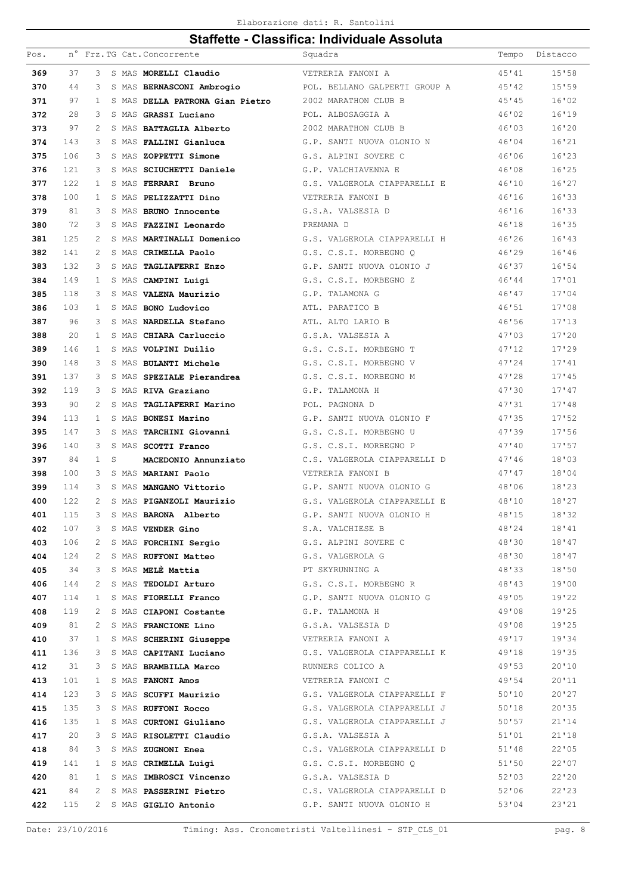#### Elaborazione dati: R. Santolini

| Pos. |     |              |   | n° Frz. TG Cat. Concorrente                                                                                                              | Squadra                                                      | Tempo | Distacco |
|------|-----|--------------|---|------------------------------------------------------------------------------------------------------------------------------------------|--------------------------------------------------------------|-------|----------|
| 369  | 37  | 3            |   | S MAS MORELLI Claudio                                                                                                                    | VETRERIA FANONI A                                            | 45'41 | 15'58    |
| 370  | 44  | 3            |   | S MAS BERNASCONI Ambrogio                                                                                                                | POL. BELLANO GALPERTI GROUP A                                | 45'42 | 15'59    |
| 371  | 97  | $\mathbf{1}$ |   | S MAS DELLA PATRONA Gian Pietro                                                                                                          | 2002 MARATHON CLUB B                                         | 45'35 | 16'02    |
| 372  | 28  | 3            |   | S MAS GRASSI Luciano                                                                                                                     | POL. ALBOSAGGIA A                                            | 46'02 | 16'19    |
| 373  | 97  | 2            |   | S MAS BATTAGLIA Alberto                                                                                                                  | 2002 MARATHON CLUB B                                         | 46'03 | 16'20    |
| 374  | 143 | 3            |   | S MAS FALLINI Gianluca                                                                                                                   | G.P. SANTI NUOVA OLONIO N                                    | 46'04 | 16'21    |
| 375  | 106 | 3            |   | S MAS ZOPPETTI Simone                                                                                                                    | G.S. ALPINI SOVERE C                                         | 46'06 | 16'23    |
| 376  | 121 | 3            |   | S MAS SCIUCHETTI Daniele                                                                                                                 | G.P. VALCHIAVENNA E                                          | 46'08 | 16'25    |
| 377  | 122 | 1            |   | S MAS FERRARI Bruno                                                                                                                      | G.S. VALGEROLA CIAPPARELLI E                                 | 46'10 | 16'27    |
| 378  | 100 | 1            |   | S MAS PELIZZATTI Dino                                                                                                                    | VETRERIA FANONI B                                            | 46'16 | 16'33    |
| 379  | 81  | 3            |   | S MAS BRUNO Innocente                                                                                                                    | G.S.A. VALSESIA D                                            | 46'16 | 16'33    |
| 380  | 72  | 3            |   | S MAS FAZZINI Leonardo                                                                                                                   | PREMANA D                                                    | 46'18 | 16'35    |
| 381  | 125 | 2            |   | S MAS MARTINALLI Domenico                                                                                                                | G.S. VALGEROLA CIAPPARELLI H                                 | 46'26 | 16'13    |
| 382  | 141 | 2            |   | S MAS CRIMELLA Paolo                                                                                                                     | G.S. C.S.I. MORBEGNO Q                                       | 46'29 | 16'46    |
| 383  | 132 | 3            |   | S MAS TAGLIAFERRI Enzo                                                                                                                   | G.P. SANTI NUOVA OLONIO J                                    | 46'37 | 16'54    |
| 384  | 149 | 1            |   | S MAS CAMPINI Luigi                                                                                                                      | G.S. C.S.I. MORBEGNO Z                                       | 46'44 | 17'01    |
| 385  | 118 | 3            |   | S MAS VALENA Maurizio                                                                                                                    | G.P. TALAMONA G                                              | 46'47 | 17'04    |
| 386  | 103 | 1            |   | S MAS BONO Ludovico                                                                                                                      | ATL. PARATICO B                                              | 46'51 | 17'08    |
| 387  | 96  | 3            |   | S MAS NARDELLA Stefano                                                                                                                   | ATL. ALTO LARIO B                                            | 46'56 | 17'13    |
| 388  | 20  | 1            |   | S MAS CHIARA Carluccio                                                                                                                   | G.S.A. VALSESIA A                                            | 47'03 | 17'20    |
| 389  | 146 | 1            |   | S MAS VOLPINI Duilio                                                                                                                     | G.S. C.S.I. MORBEGNO T                                       | 47'12 | 17'29    |
| 390  | 148 | 3            |   | S MAS BULANTI Michele                                                                                                                    | G.S. C.S.I. MORBEGNO V                                       | 47'24 | 17'41    |
| 391  | 137 | 3            |   | S MAS SPEZIALE Pierandrea                                                                                                                | G.S. C.S.I. MORBEGNO M                                       | 47'28 | 17'45    |
| 392  | 119 | 3            |   | S MAS RIVA Graziano                                                                                                                      | G.P. TALAMONA H                                              | 47'30 | 17'47    |
| 393  | 90  | 2            |   | S MAS TAGLIAFERRI Marino                                                                                                                 | POL. PAGNONA D                                               | 47'31 | 17'38    |
| 394  | 113 | $\mathbf{1}$ |   | S MAS BONESI Marino                                                                                                                      | G.P. SANTI NUOVA OLONIO F                                    | 47'35 | 17'52    |
| 395  | 147 | 3            |   | S MAS TARCHINI Giovanni                                                                                                                  | G.S. C.S.I. MORBEGNO U                                       | 47'39 | 17'56    |
| 396  | 140 | 3            |   | S MAS SCOTTI Franco                                                                                                                      | G.S. C.S.I. MORBEGNO P                                       | 47'10 | 17'57    |
| 397  | 84  | $\mathbf{1}$ | S | MACEDONIO Annunziato                                                                                                                     | C.S. VALGEROLA CIAPPARELLI D                                 | 47'16 | 18'03    |
| 398  | 100 | 3            |   | S MAS MARIANI Paolo                                                                                                                      | VETRERIA FANONI B                                            | 47'47 | 18'04    |
| 399  | 114 | 3            |   | S MAS MANGANO Vittorio                                                                                                                   | G.P. SANTI NUOVA OLONIO G                                    | 48'06 | 18'23    |
| 400  | 122 | 2            |   | S MAS PIGANZOLI Maurizio                                                                                                                 | G.S. VALGEROLA CIAPPARELLI E                                 | 48'10 | 18'27    |
| 401  | 115 | 3            |   | S MAS BARONA Alberto                                                                                                                     | G.P. SANTI NUOVA OLONIO H                                    | 48'15 | 18'32    |
| 402  | 107 | 3            |   | S MAS VENDER Gino                                                                                                                        | S.A. VALCHIESE B                                             | 48'24 | 18'41    |
| 403  | 106 | 2            |   |                                                                                                                                          | S MAS FORCHINI Sergio G.S. ALPINI SOVERE C                   | 48'30 | 18'47    |
| 404  | 124 | 2            |   | S MAS RUFFONI Matteo G.S. VALGEROLA G                                                                                                    |                                                              | 48'30 | 18'47    |
| 405  | 34  | 3            |   | S MAS <b>MELÈ Mattia</b><br>S MAS <b>MELÈ Mattia</b><br>S MAS <b>TEDOLDI Arturo</b><br>S MAS <b>TEDOLDI Arturo</b><br>S MAS <b>TICLE</b> |                                                              | 48'33 | 18'50    |
| 406  | 144 | 2            |   |                                                                                                                                          | G.S. C.S.I. MORBEGNO R                                       | 48'43 | 19'00    |
| 407  | 114 | 1            |   |                                                                                                                                          | S MAS FIORELLI Franco G.P. SANTI NUOVA OLONIO G 49'05        |       | 19'22    |
| 408  | 119 | 2            |   | S MAS CIAPONI Costante G.P. TALAMONA H                                                                                                   |                                                              | 49'08 | 19'25    |
| 409  | 81  | 2            |   |                                                                                                                                          | S MAS FRANCIONE Lino G.S.A. VALSESIA D                       | 49'08 | 19'25    |
| 410  | 37  | $\mathbf{1}$ |   |                                                                                                                                          | S MAS SCHERINI Giuseppe WETRERIA FANONI A                    | 49'17 | 19'34    |
| 411  | 136 | 3            |   |                                                                                                                                          | S MAS CAPITANI Luciano (G.S. VALGEROLA CIAPPARELLI K 49'18   |       | 19'35    |
| 412  | 31  | 3            |   | S MAS <b>BRAMBILLA Marco</b><br>S MAS <b>FANONI Amos</b>                                                                                 | RUNNERS COLICO A                                             | 49'53 | 20'10    |
| 413  | 101 | $\mathbf{1}$ |   |                                                                                                                                          | VETRERIA FANONI C                                            | 49'54 | 20'11    |
| 414  | 123 | 3            |   |                                                                                                                                          | S MAS SCUFFI Maurizio 6.S. VALGEROLA CIAPPARELLI F 50'10     |       | 20'27    |
| 415  | 135 | 3            |   |                                                                                                                                          | S MAS RUFFONI Rocco G.S. VALGEROLA CIAPPARELLI J 50'18       |       | 20'35    |
| 416  | 135 | $\mathbf{1}$ |   |                                                                                                                                          | S MAS CURTONI Giuliano G.S. VALGEROLA CIAPPARELLI J<br>50'57 |       | 21'14    |
| 417  | 20  | 3            |   | S MAS RISOLETTI Claudio G.S.A. VALSESIA A                                                                                                |                                                              | 51'01 | 21'18    |
| 418  | 84  | 3            |   | S MAS ZUGNONI Enea                                                                                                                       | C.S. VALGEROLA CIAPPARELLI D 51'48                           |       | 22'05    |
| 419  | 141 | $\mathbf{1}$ |   |                                                                                                                                          | S MAS CRIMELLA Luigi G.S. C.S.I. MORBEGNO Q                  | 51'50 | 22'07    |
| 420  | 81  | $\mathbf{1}$ |   | S MAS IMBROSCI Vincenzo G.S.A. VALSESIA D                                                                                                | 52'03                                                        |       | 22'20    |
| 421  | 84  | 2            |   |                                                                                                                                          | S MAS PASSERINI Pietro C.S. VALGEROLA CIAPPARELLI D          | 52'06 | 22'23    |
| 422  | 115 | 2            |   | S MAS GIGLIO Antonio                                                                                                                     | G.P. SANTI NUOVA OLONIO H                                    | 53'04 | 23'21    |